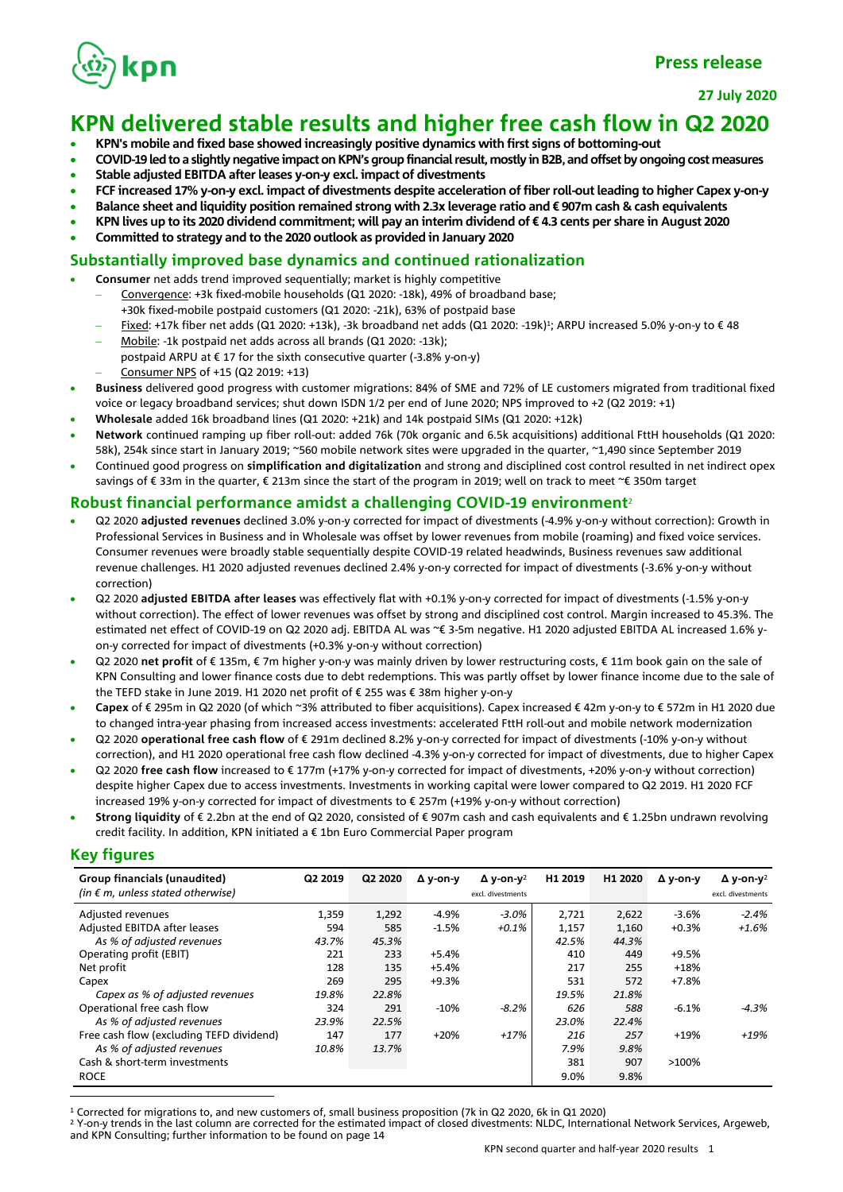

**27 July 2020**

### **KPN delivered stable results and higher free cash flow in Q2 2020**

- **KPN's mobile and fixed base showed increasingly positive dynamics with first signs of bottoming-out**
- **COVID-19 led to a slightly negative impact on KPN's group financial result, mostly in B2B, and offset by ongoing cost measures**
- **Stable adjusted EBITDA after leases y-on-y excl. impact of divestments**
- **FCF increased 17% y-on-y excl. impact of divestments despite acceleration of fiber roll-out leading to higher Capex y-on-y**
- **Balance sheet and liquidity position remained strong with 2.3x leverage ratio and € 907m cash & cash equivalents**
- **KPN lives up to its 2020 dividend commitment; will pay an interim dividend of € 4.3 cents per share in August 2020**
- **Committed to strategy and to the 2020 outlook as provided in January 2020**

### **Substantially improved base dynamics and continued rationalization**

- **Consumer** net adds trend improved sequentially; market is highly competitive
	- − Convergence: +3k fixed-mobile households (Q1 2020: -18k), 49% of broadband base; +30k fixed-mobile postpaid customers (Q1 2020: -21k), 63% of postpaid base
	- − Fixed: +17k fiber net adds (Q1 2020: +13k), -3k broadband net adds (Q1 2020: -19k)<sup>1</sup>; ARPU increased 5.0% y-on-y to € 48
	- Mobile: -1k postpaid net adds across all brands (Q1 2020: -13k); postpaid ARPU at  $\epsilon$  17 for the sixth consecutive quarter (-3.8% y-on-y) − Consumer NPS of +15 (Q2 2019: +13)
- **Business** delivered good progress with customer migrations: 84% of SME and 72% of LE customers migrated from traditional fixed voice or legacy broadband services; shut down ISDN 1/2 per end of June 2020; NPS improved to +2 (Q2 2019: +1)
- **Wholesale** added 16k broadband lines (Q1 2020: +21k) and 14k postpaid SIMs (Q1 2020: +12k)
- **Network** continued ramping up fiber roll-out: added 76k (70k organic and 6.5k acquisitions) additional FttH households (Q1 2020: 58k), 254k since start in January 2019; ~560 mobile network sites were upgraded in the quarter, ~1,490 since September 2019
- Continued good progress on **simplification and digitalization** and strong and disciplined cost control resulted in net indirect opex savings of € 33m in the quarter, € 213m since the start of the program in 2019; well on track to meet ~€ 350m target

### **Robust financial performance amidst a challenging COVID-19 environment**<sup>2</sup>

- Q2 2020 **adjusted revenues** declined 3.0% y-on-y corrected for impact of divestments (-4.9% y-on-y without correction): Growth in Professional Services in Business and in Wholesale was offset by lower revenues from mobile (roaming) and fixed voice services. Consumer revenues were broadly stable sequentially despite COVID-19 related headwinds, Business revenues saw additional revenue challenges. H1 2020 adjusted revenues declined 2.4% y-on-y corrected for impact of divestments (-3.6% y-on-y without correction)
- Q2 2020 **adjusted EBITDA after leases** was effectively flat with +0.1% y-on-y corrected for impact of divestments (-1.5% y-on-y without correction). The effect of lower revenues was offset by strong and disciplined cost control. Margin increased to 45.3%. The estimated net effect of COVID-19 on Q2 2020 adj. EBITDA AL was ~€ 3-5m negative. H1 2020 adjusted EBITDA AL increased 1.6% yon-y corrected for impact of divestments (+0.3% y-on-y without correction)
- Q2 2020 **net profit** of € 135m, € 7m higher y-on-y was mainly driven by lower restructuring costs, € 11m book gain on the sale of KPN Consulting and lower finance costs due to debt redemptions. This was partly offset by lower finance income due to the sale of the TEFD stake in June 2019. H1 2020 net profit of € 255 was € 38m higher y-on-y
- **Capex** of € 295m in Q2 2020 (of which ~3% attributed to fiber acquisitions). Capex increased € 42m y-on-y to € 572m in H1 2020 due to changed intra-year phasing from increased access investments: accelerated FttH roll-out and mobile network modernization
- Q2 2020 **operational free cash flow** of € 291m declined 8.2% y-on-y corrected for impact of divestments (-10% y-on-y without correction), and H1 2020 operational free cash flow declined -4.3% y-on-y corrected for impact of divestments, due to higher Capex
- Q2 2020 **free cash flow** increased to € 177m (+17% y-on-y corrected for impact of divestments, +20% y-on-y without correction) despite higher Capex due to access investments. Investments in working capital were lower compared to Q2 2019. H1 2020 FCF increased 19% y-on-y corrected for impact of divestments to € 257m (+19% y-on-y without correction)
- **Strong liquidity** of € 2.2bn at the end of Q2 2020, consisted of € 907m cash and cash equivalents and € 1.25bn undrawn revolving credit facility. In addition, KPN initiated a  $\epsilon$  1bn Euro Commercial Paper program

### **Key figures**

| Group financials (unaudited)               | Q2 2019 | Q2 2020 | $\Delta$ v-on-v | $\Delta$ v-on-v <sup>2</sup> | H1 2019 | H1 2020 | Δ v-on-v | $\Delta$ y-on-y <sup>2</sup> |
|--------------------------------------------|---------|---------|-----------------|------------------------------|---------|---------|----------|------------------------------|
| (in $\epsilon$ m, unless stated otherwise) |         |         |                 | excl. divestments            |         |         |          | excl. divestments            |
| Adjusted revenues                          | 1,359   | 1,292   | -4.9%           | $-3.0\%$                     | 2,721   | 2,622   | $-3.6%$  | $-2.4%$                      |
| Adjusted EBITDA after leases               | 594     | 585     | $-1.5%$         | $+0.1%$                      | 1,157   | 1,160   | $+0.3%$  | $+1.6%$                      |
| As % of adjusted revenues                  | 43.7%   | 45.3%   |                 |                              | 42.5%   | 44.3%   |          |                              |
| Operating profit (EBIT)                    | 221     | 233     | $+5.4%$         |                              | 410     | 449     | $+9.5%$  |                              |
| Net profit                                 | 128     | 135     | $+5.4%$         |                              | 217     | 255     | $+18%$   |                              |
| Capex                                      | 269     | 295     | $+9.3%$         |                              | 531     | 572     | $+7.8%$  |                              |
| Capex as % of adjusted revenues            | 19.8%   | 22.8%   |                 |                              | 19.5%   | 21.8%   |          |                              |
| Operational free cash flow                 | 324     | 291     | $-10%$          | $-8.2%$                      | 626     | 588     | $-6.1%$  | $-4.3%$                      |
| As % of adjusted revenues                  | 23.9%   | 22.5%   |                 |                              | 23.0%   | 22.4%   |          |                              |
| Free cash flow (excluding TEFD dividend)   | 147     | 177     | $+20%$          | $+17%$                       | 216     | 257     | +19%     | +19%                         |
| As % of adjusted revenues                  | 10.8%   | 13.7%   |                 |                              | 7.9%    | 9.8%    |          |                              |
| Cash & short-term investments              |         |         |                 |                              | 381     | 907     | $>100\%$ |                              |
| <b>ROCE</b>                                |         |         |                 |                              | 9.0%    | 9.8%    |          |                              |

<sup>1</sup> Corrected for migrations to, and new customers of, small business proposition (7k in Q2 2020, 6k in Q1 2020)

<sup>2</sup> Y-on-y trends in the last column are corrected for the estimated impact of closed divestments: NLDC, International Network Services, Argeweb, and KPN Consulting; further information to be found on page 14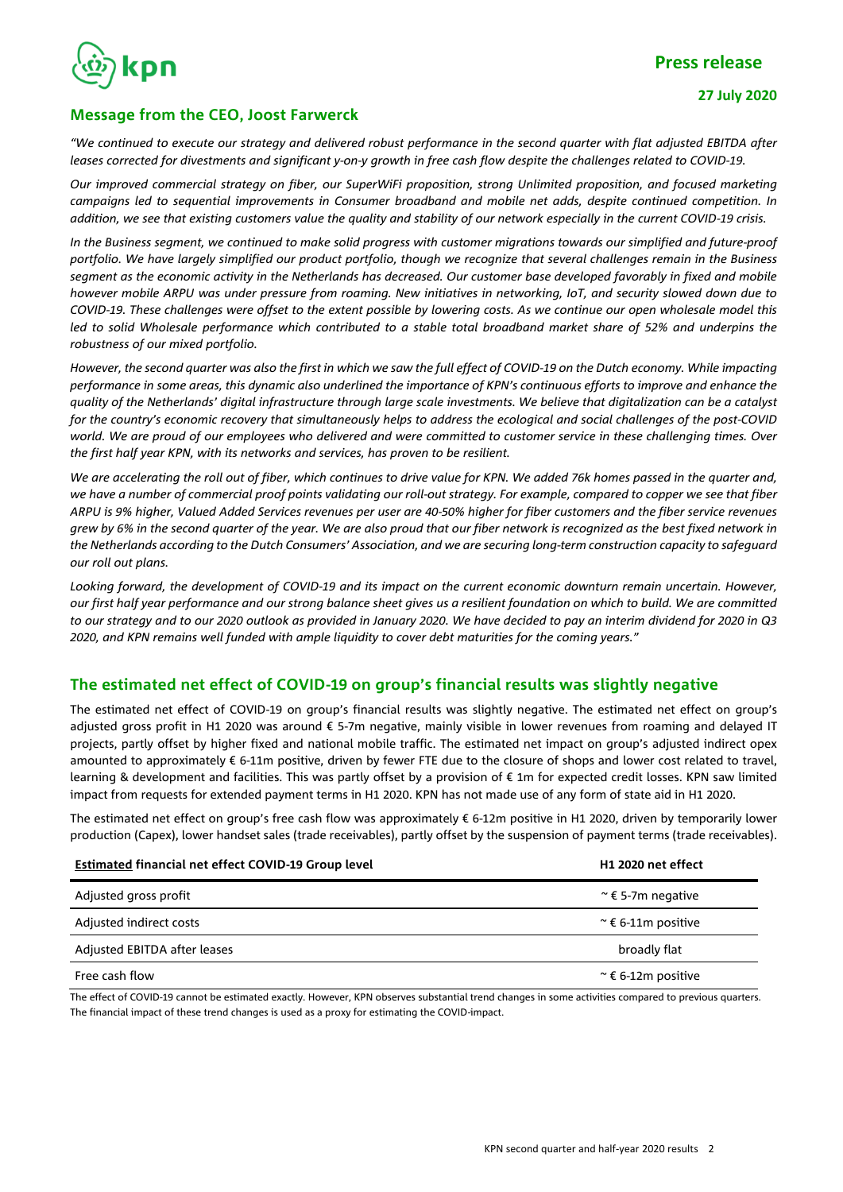

### **Message from the CEO, Joost Farwerck**

*"We continued to execute our strategy and delivered robust performance in the second quarter with flat adjusted EBITDA after leases corrected for divestments and significant y-on-y growth in free cash flow despite the challenges related to COVID-19.* 

*Our improved commercial strategy on fiber, our SuperWiFi proposition, strong Unlimited proposition, and focused marketing campaigns led to sequential improvements in Consumer broadband and mobile net adds, despite continued competition. In addition, we see that existing customers value the quality and stability of our network especially in the current COVID-19 crisis.*

*In the Business segment, we continued to make solid progress with customer migrations towards our simplified and future-proof portfolio. We have largely simplified our product portfolio, though we recognize that several challenges remain in the Business segment as the economic activity in the Netherlands has decreased. Our customer base developed favorably in fixed and mobile however mobile ARPU was under pressure from roaming. New initiatives in networking, IoT, and security slowed down due to COVID-19. These challenges were offset to the extent possible by lowering costs. As we continue our open wholesale model this led to solid Wholesale performance which contributed to a stable total broadband market share of 52% and underpins the robustness of our mixed portfolio.*

*However, the second quarter was also the first in which we saw the full effect of COVID-19 on the Dutch economy. While impacting performance in some areas, this dynamic also underlined the importance of KPN's continuous efforts to improve and enhance the quality of the Netherlands' digital infrastructure through large scale investments. We believe that digitalization can be a catalyst for the country's economic recovery that simultaneously helps to address the ecological and social challenges of the post-COVID world. We are proud of our employees who delivered and were committed to customer service in these challenging times. Over the first half year KPN, with its networks and services, has proven to be resilient.* 

*We are accelerating the roll out of fiber, which continues to drive value for KPN. We added 76k homes passed in the quarter and, we have a number of commercial proof points validating our roll-out strategy. For example, compared to copper we see that fiber ARPU is 9% higher, Valued Added Services revenues per user are 40-50% higher for fiber customers and the fiber service revenues grew by 6% in the second quarter of the year. We are also proud that our fiber network is recognized as the best fixed network in the Netherlands according to the Dutch Consumers' Association, and we are securing long-term construction capacity to safeguard our roll out plans.*

*Looking forward, the development of COVID-19 and its impact on the current economic downturn remain uncertain. However, our first half year performance and our strong balance sheet gives us a resilient foundation on which to build. We are committed to our strategy and to our 2020 outlook as provided in January 2020. We have decided to pay an interim dividend for 2020 in Q3 2020, and KPN remains well funded with ample liquidity to cover debt maturities for the coming years."*

### **The estimated net effect of COVID-19 on group's financial results was slightly negative**

The estimated net effect of COVID-19 on group's financial results was slightly negative. The estimated net effect on group's adjusted gross profit in H1 2020 was around € 5-7m negative, mainly visible in lower revenues from roaming and delayed IT projects, partly offset by higher fixed and national mobile traffic. The estimated net impact on group's adjusted indirect opex amounted to approximately € 6-11m positive, driven by fewer FTE due to the closure of shops and lower cost related to travel, learning & development and facilities. This was partly offset by a provision of € 1m for expected credit losses. KPN saw limited impact from requests for extended payment terms in H1 2020. KPN has not made use of any form of state aid in H1 2020.

The estimated net effect on group's free cash flow was approximately € 6-12m positive in H1 2020, driven by temporarily lower production (Capex), lower handset sales (trade receivables), partly offset by the suspension of payment terms (trade receivables).

| <b>Estimated financial net effect COVID-19 Group level</b> | H1 2020 net effect         |
|------------------------------------------------------------|----------------------------|
| Adjusted gross profit                                      | $\approx$ € 5-7m negative  |
| Adjusted indirect costs                                    | $\approx$ € 6-11m positive |
| Adjusted EBITDA after leases                               | broadly flat               |
| Free cash flow                                             | $\approx$ € 6-12m positive |

The effect of COVID-19 cannot be estimated exactly. However, KPN observes substantial trend changes in some activities compared to previous quarters. The financial impact of these trend changes is used as a proxy for estimating the COVID-impact.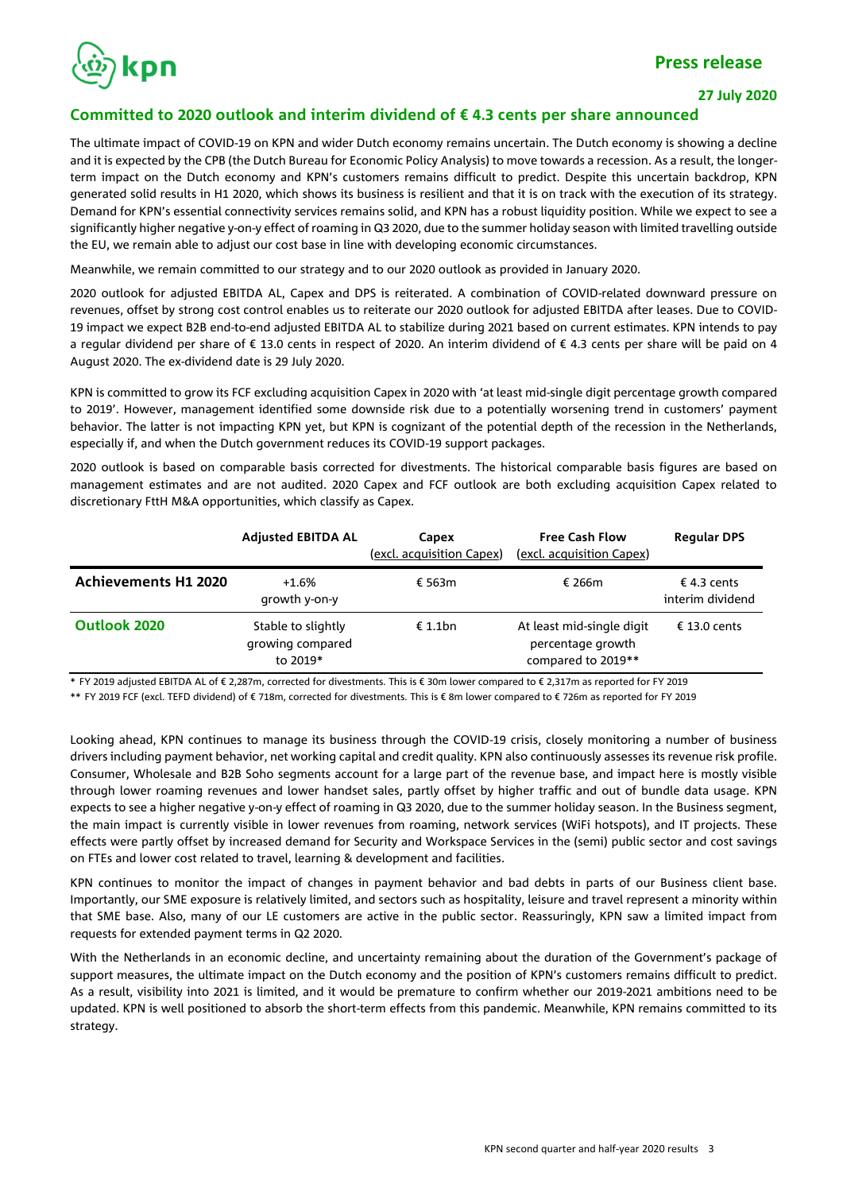

### **27 July 2020**

### **Committed to 2020 outlook and interim dividend of € 4.3 cents per share announced**

The ultimate impact of COVID-19 on KPN and wider Dutch economy remains uncertain. The Dutch economy is showing a decline and it is expected by the CPB (the Dutch Bureau for Economic Policy Analysis) to move towards a recession. As a result, the longerterm impact on the Dutch economy and KPN's customers remains difficult to predict. Despite this uncertain backdrop, KPN generated solid results in H1 2020, which shows its business is resilient and that it is on track with the execution of its strategy. Demand for KPN's essential connectivity services remains solid, and KPN has a robust liquidity position. While we expect to see a significantly higher negative y-on-y effect of roaming in Q3 2020, due to the summer holiday season with limited travelling outside the EU, we remain able to adjust our cost base in line with developing economic circumstances.

Meanwhile, we remain committed to our strategy and to our 2020 outlook as provided in January 2020.

2020 outlook for adjusted EBITDA AL, Capex and DPS is reiterated. A combination of COVID-related downward pressure on revenues, offset by strong cost control enables us to reiterate our 2020 outlook for adjusted EBITDA after leases. Due to COVID-19 impact we expect B2B end-to-end adjusted EBITDA AL to stabilize during 2021 based on current estimates. KPN intends to pay a regular dividend per share of € 13.0 cents in respect of 2020. An interim dividend of € 4.3 cents per share will be paid on 4 August 2020. The ex-dividend date is 29 July 2020.

KPN is committed to grow its FCF excluding acquisition Capex in 2020 with 'at least mid-single digit percentage growth compared to 2019'. However, management identified some downside risk due to a potentially worsening trend in customers' payment behavior. The latter is not impacting KPN yet, but KPN is cognizant of the potential depth of the recession in the Netherlands, especially if, and when the Dutch government reduces its COVID-19 support packages.

2020 outlook is based on comparable basis corrected for divestments. The historical comparable basis figures are based on management estimates and are not audited. 2020 Capex and FCF outlook are both excluding acquisition Capex related to discretionary FttH M&A opportunities, which classify as Capex.

|                             | <b>Adjusted EBITDA AL</b>                          | Capex<br>(excl. acquisition Capex) | <b>Free Cash Flow</b><br>(excl. acquisition Capex)                   | <b>Regular DPS</b>              |
|-----------------------------|----------------------------------------------------|------------------------------------|----------------------------------------------------------------------|---------------------------------|
| <b>Achievements H1 2020</b> | $+1.6%$<br>growth y-on-y                           | € 563m                             | € 266 $m$                                                            | € 4.3 cents<br>interim dividend |
| Outlook 2020                | Stable to slightly<br>growing compared<br>to 2019* | £1.1bn                             | At least mid-single digit<br>percentage growth<br>compared to 2019** | € 13.0 cents                    |

\* FY 2019 adjusted EBITDA AL of € 2,287m, corrected for divestments. This is € 30m lower compared to € 2,317m as reported for FY 2019

\*\* FY 2019 FCF (excl. TEFD dividend) of € 718m, corrected for divestments. This is € 8m lower compared to € 726m as reported for FY 2019

Looking ahead, KPN continues to manage its business through the COVID-19 crisis, closely monitoring a number of business drivers including payment behavior, net working capital and credit quality. KPN also continuously assesses its revenue risk profile. Consumer, Wholesale and B2B Soho segments account for a large part of the revenue base, and impact here is mostly visible through lower roaming revenues and lower handset sales, partly offset by higher traffic and out of bundle data usage. KPN expects to see a higher negative y-on-y effect of roaming in Q3 2020, due to the summer holiday season. In the Business segment, the main impact is currently visible in lower revenues from roaming, network services (WiFi hotspots), and IT projects. These effects were partly offset by increased demand for Security and Workspace Services in the (semi) public sector and cost savings on FTEs and lower cost related to travel, learning & development and facilities.

KPN continues to monitor the impact of changes in payment behavior and bad debts in parts of our Business client base. Importantly, our SME exposure is relatively limited, and sectors such as hospitality, leisure and travel represent a minority within that SME base. Also, many of our LE customers are active in the public sector. Reassuringly, KPN saw a limited impact from requests for extended payment terms in Q2 2020.

With the Netherlands in an economic decline, and uncertainty remaining about the duration of the Government's package of support measures, the ultimate impact on the Dutch economy and the position of KPN's customers remains difficult to predict. As a result, visibility into 2021 is limited, and it would be premature to confirm whether our 2019-2021 ambitions need to be updated. KPN is well positioned to absorb the short-term effects from this pandemic. Meanwhile, KPN remains committed to its strategy.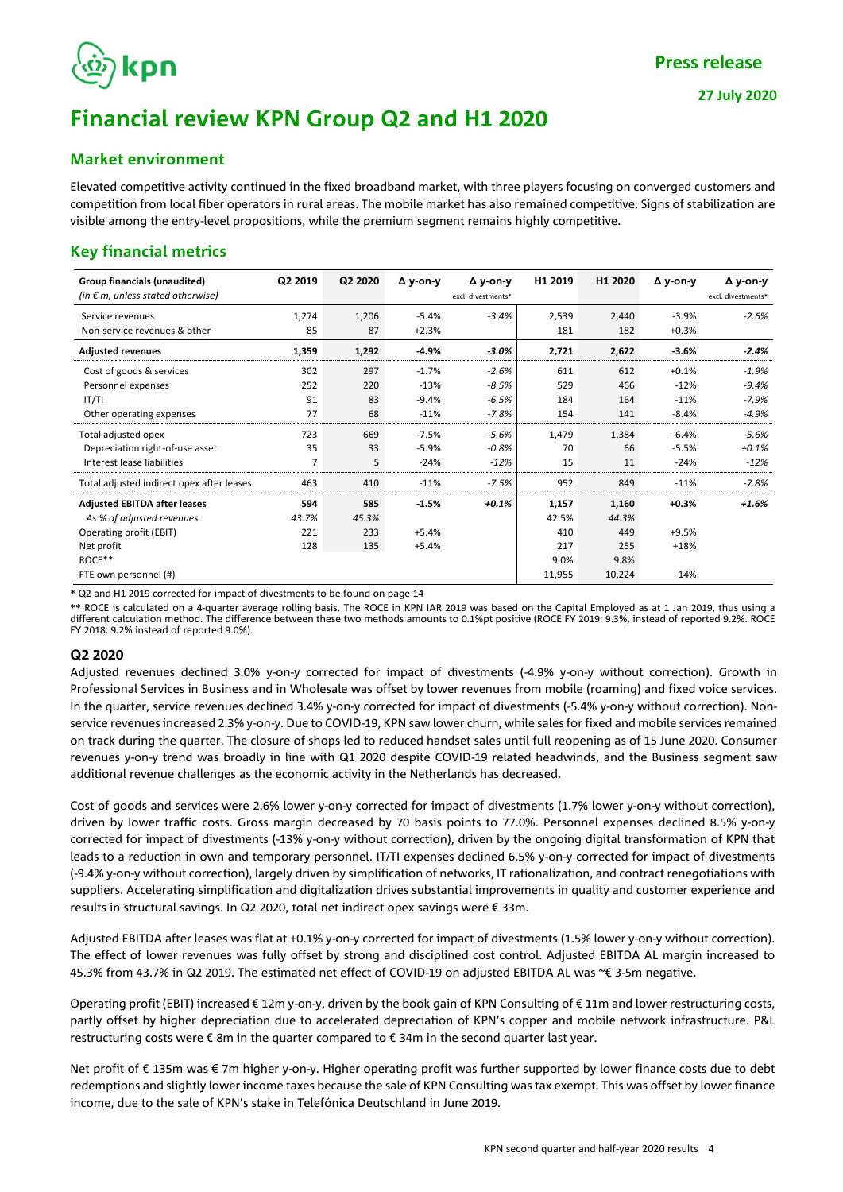# kpn

### **Market environment**

Elevated competitive activity continued in the fixed broadband market, with three players focusing on converged customers and competition from local fiber operators in rural areas. The mobile market has also remained competitive. Signs of stabilization are visible among the entry-level propositions, while the premium segment remains highly competitive.

### **Key financial metrics**

| Group financials (unaudited)<br>(in $\epsilon$ m, unless stated otherwise)                                                                   | Q2 2019                    | Q2 2020                    | Δ y-on-y                      | Δ y-on-y<br>excl. divestments* | H1 2019                                        | H1 2020                                        | $\Delta$ y-on-y                        | Δ y-on-y<br>excl. divestments* |
|----------------------------------------------------------------------------------------------------------------------------------------------|----------------------------|----------------------------|-------------------------------|--------------------------------|------------------------------------------------|------------------------------------------------|----------------------------------------|--------------------------------|
| Service revenues<br>Non-service revenues & other                                                                                             | 1,274<br>85                | 1,206<br>87                | $-5.4%$<br>$+2.3%$            | $-3.4%$                        | 2,539<br>181                                   | 2,440<br>182                                   | $-3.9%$<br>$+0.3%$                     | $-2.6%$                        |
| <b>Adjusted revenues</b>                                                                                                                     | 1,359                      | 1,292                      | $-4.9%$                       | $-3.0%$                        | 2,721                                          | 2,622                                          | $-3.6%$                                | $-2.4%$                        |
| Cost of goods & services<br>Personnel expenses<br> T/T                                                                                       | 302<br>252<br>91           | 297<br>220<br>83           | $-1.7%$<br>$-13%$<br>$-9.4%$  | $-2.6%$<br>$-8.5%$<br>$-6.5%$  | 611<br>529<br>184                              | 612<br>466<br>164                              | $+0.1%$<br>$-12%$<br>$-11%$            | $-1.9%$<br>$-9.4%$<br>$-7.9%$  |
| Other operating expenses                                                                                                                     | 77                         | 68                         | $-11%$                        | $-7.8%$                        | 154                                            | 141                                            | $-8.4%$                                | $-4.9%$                        |
| Total adjusted opex<br>Depreciation right-of-use asset<br>Interest lease liabilities                                                         | 723<br>35<br>7             | 669<br>33<br>5             | $-7.5%$<br>$-5.9%$<br>$-24%$  | $-5.6%$<br>$-0.8%$<br>$-12%$   | 1,479<br>70<br>15                              | 1,384<br>66<br>11                              | $-6.4%$<br>$-5.5%$<br>$-24%$           | $-5.6%$<br>$+0.1%$<br>$-12%$   |
| Total adjusted indirect opex after leases                                                                                                    | 463                        | 410                        | $-11%$                        | $-7.5%$                        | 952                                            | 849                                            | $-11%$                                 | $-7.8%$                        |
| <b>Adjusted EBITDA after leases</b><br>As % of adjusted revenues<br>Operating profit (EBIT)<br>Net profit<br>ROCE**<br>FTE own personnel (#) | 594<br>43.7%<br>221<br>128 | 585<br>45.3%<br>233<br>135 | $-1.5%$<br>$+5.4%$<br>$+5.4%$ | $+0.1%$                        | 1,157<br>42.5%<br>410<br>217<br>9.0%<br>11,955 | 1,160<br>44.3%<br>449<br>255<br>9.8%<br>10,224 | $+0.3%$<br>$+9.5%$<br>$+18%$<br>$-14%$ | $+1.6%$                        |

\* Q2 and H1 2019 corrected for impact of divestments to be found on page 14

\*\* ROCE is calculated on a 4-quarter average rolling basis. The ROCE in KPN IAR 2019 was based on the Capital Employed as at 1 Jan 2019, thus using a different calculation method. The difference between these two methods amounts to 0.1%pt positive (ROCE FY 2019: 9.3%, instead of reported 9.2%. ROCE FY 2018: 9.2% instead of reported 9.0%).

### **Q2 2020**

Adjusted revenues declined 3.0% y-on-y corrected for impact of divestments (-4.9% y-on-y without correction). Growth in Professional Services in Business and in Wholesale was offset by lower revenues from mobile (roaming) and fixed voice services. In the quarter, service revenues declined 3.4% y-on-y corrected for impact of divestments (-5.4% y-on-y without correction). Nonservice revenues increased 2.3% y-on-y. Due to COVID-19, KPN saw lower churn, while sales for fixed and mobile services remained on track during the quarter. The closure of shops led to reduced handset sales until full reopening as of 15 June 2020. Consumer revenues y-on-y trend was broadly in line with Q1 2020 despite COVID-19 related headwinds, and the Business segment saw additional revenue challenges as the economic activity in the Netherlands has decreased.

Cost of goods and services were 2.6% lower y-on-y corrected for impact of divestments (1.7% lower y-on-y without correction), driven by lower traffic costs. Gross margin decreased by 70 basis points to 77.0%. Personnel expenses declined 8.5% y-on-y corrected for impact of divestments (-13% y-on-y without correction), driven by the ongoing digital transformation of KPN that leads to a reduction in own and temporary personnel. IT/TI expenses declined 6.5% y-on-y corrected for impact of divestments (-9.4% y-on-y without correction), largely driven by simplification of networks, IT rationalization, and contract renegotiations with suppliers. Accelerating simplification and digitalization drives substantial improvements in quality and customer experience and results in structural savings. In Q2 2020, total net indirect opex savings were € 33m.

Adjusted EBITDA after leases was flat at +0.1% y-on-y corrected for impact of divestments (1.5% lower y-on-y without correction). The effect of lower revenues was fully offset by strong and disciplined cost control. Adjusted EBITDA AL margin increased to 45.3% from 43.7% in Q2 2019. The estimated net effect of COVID-19 on adjusted EBITDA AL was ~€ 3-5m negative.

Operating profit (EBIT) increased € 12m y-on-y, driven by the book gain of KPN Consulting of € 11m and lower restructuring costs, partly offset by higher depreciation due to accelerated depreciation of KPN's copper and mobile network infrastructure. P&L restructuring costs were € 8m in the quarter compared to € 34m in the second quarter last year.

Net profit of € 135m was € 7m higher y-on-y. Higher operating profit was further supported by lower finance costs due to debt redemptions and slightly lower income taxes because the sale of KPN Consulting was tax exempt. This was offset by lower finance income, due to the sale of KPN's stake in Telefónica Deutschland in June 2019.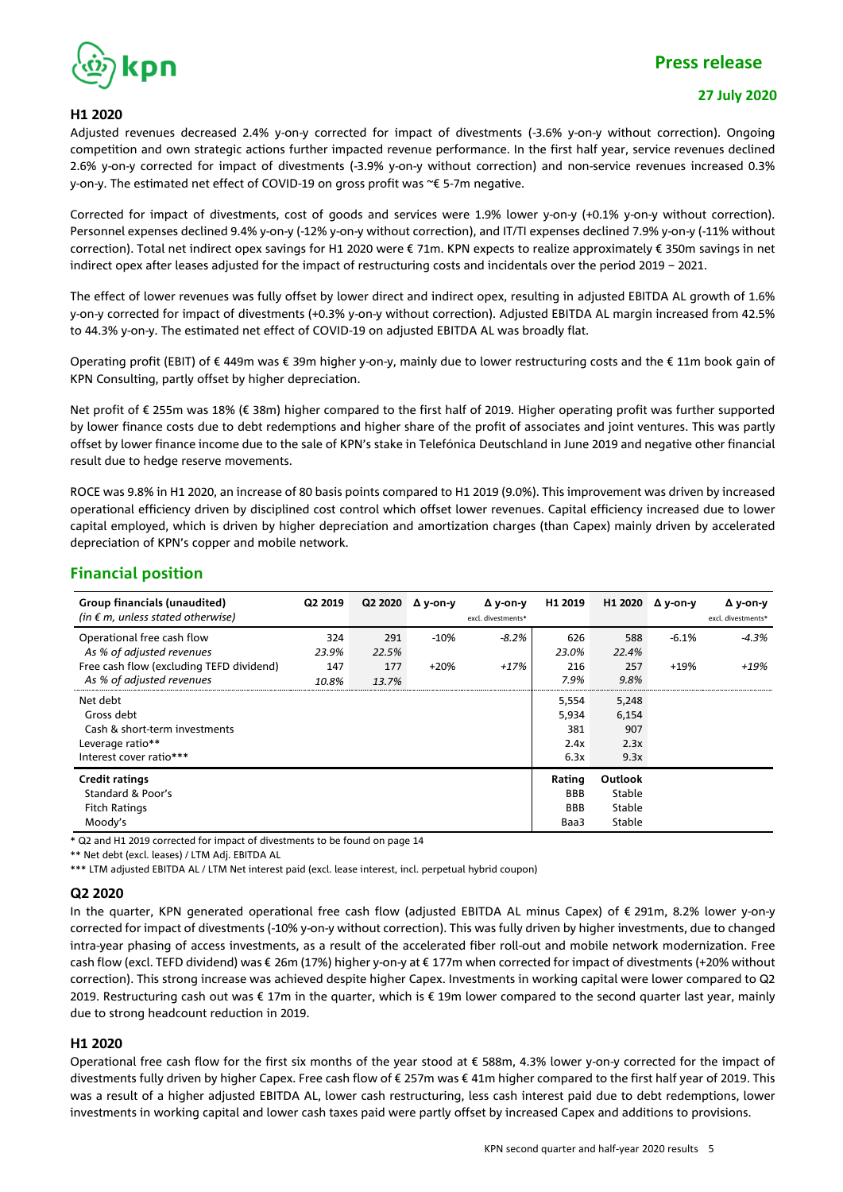

#### **27 July 2020**

#### **H1 2020**

Adjusted revenues decreased 2.4% y-on-y corrected for impact of divestments (-3.6% y-on-y without correction). Ongoing competition and own strategic actions further impacted revenue performance. In the first half year, service revenues declined 2.6% y-on-y corrected for impact of divestments (-3.9% y-on-y without correction) and non-service revenues increased 0.3% y-on-y. The estimated net effect of COVID-19 on gross profit was ~€ 5-7m negative.

Corrected for impact of divestments, cost of goods and services were 1.9% lower y-on-y (+0.1% y-on-y without correction). Personnel expenses declined 9.4% y-on-y (-12% y-on-y without correction), and IT/TI expenses declined 7.9% y-on-y (-11% without correction). Total net indirect opex savings for H1 2020 were € 71m. KPN expects to realize approximately € 350m savings in net indirect opex after leases adjusted for the impact of restructuring costs and incidentals over the period 2019 – 2021.

The effect of lower revenues was fully offset by lower direct and indirect opex, resulting in adjusted EBITDA AL growth of 1.6% y-on-y corrected for impact of divestments (+0.3% y-on-y without correction). Adjusted EBITDA AL margin increased from 42.5% to 44.3% y-on-y. The estimated net effect of COVID-19 on adjusted EBITDA AL was broadly flat.

Operating profit (EBIT) of € 449m was € 39m higher y-on-y, mainly due to lower restructuring costs and the € 11m book gain of KPN Consulting, partly offset by higher depreciation.

Net profit of € 255m was 18% (€ 38m) higher compared to the first half of 2019. Higher operating profit was further supported by lower finance costs due to debt redemptions and higher share of the profit of associates and joint ventures. This was partly offset by lower finance income due to the sale of KPN's stake in Telefónica Deutschland in June 2019 and negative other financial result due to hedge reserve movements.

ROCE was 9.8% in H1 2020, an increase of 80 basis points compared to H1 2019 (9.0%). This improvement was driven by increased operational efficiency driven by disciplined cost control which offset lower revenues. Capital efficiency increased due to lower capital employed, which is driven by higher depreciation and amortization charges (than Capex) mainly driven by accelerated depreciation of KPN's copper and mobile network.

### **Financial position**

| Group financials (unaudited)<br>(in $\epsilon$ m, unless stated otherwise)                             | Q2 2019      | Q2 2020      | Δ y-on-y | Δ y-on-y<br>excl. divestments* | H1 2019                                    | H1 2020                               | Δ y-on-y | Δ y-on-y<br>excl. divestments* |
|--------------------------------------------------------------------------------------------------------|--------------|--------------|----------|--------------------------------|--------------------------------------------|---------------------------------------|----------|--------------------------------|
| Operational free cash flow<br>As % of adjusted revenues                                                | 324<br>23.9% | 291<br>22.5% | $-10%$   | $-8.2\%$                       | 626<br>23.0%                               | 588<br>22.4%                          | $-6.1%$  | $-4.3%$                        |
| Free cash flow (excluding TEFD dividend)<br>As % of adjusted revenues                                  | 147<br>10.8% | 177<br>13.7% | $+20%$   | $+17%$                         | 216<br>7.9%                                | 257<br>9.8%                           | $+19%$   | +19%                           |
| Net debt<br>Gross debt<br>Cash & short-term investments<br>Leverage ratio**<br>Interest cover ratio*** |              |              |          |                                | 5,554<br>5,934<br>381<br>2.4x<br>6.3x      | 5,248<br>6,154<br>907<br>2.3x<br>9.3x |          |                                |
| <b>Credit ratings</b><br>Standard & Poor's<br><b>Fitch Ratings</b><br>Moody's                          |              |              |          |                                | Rating<br><b>BBB</b><br><b>BBB</b><br>Baa3 | Outlook<br>Stable<br>Stable<br>Stable |          |                                |

\* Q2 and H1 2019 corrected for impact of divestments to be found on page 14

\*\* Net debt (excl. leases) / LTM Adj. EBITDA AL

\*\*\* LTM adjusted EBITDA AL / LTM Net interest paid (excl. lease interest, incl. perpetual hybrid coupon)

#### **Q2 2020**

In the quarter, KPN generated operational free cash flow (adjusted EBITDA AL minus Capex) of € 291m, 8.2% lower y-on-y corrected for impact of divestments (-10% y-on-y without correction). This was fully driven by higher investments, due to changed intra-year phasing of access investments, as a result of the accelerated fiber roll-out and mobile network modernization. Free cash flow (excl. TEFD dividend) was € 26m (17%) higher y-on-y at € 177m when corrected for impact of divestments (+20% without correction). This strong increase was achieved despite higher Capex. Investments in working capital were lower compared to Q2 2019. Restructuring cash out was € 17m in the quarter, which is € 19m lower compared to the second quarter last year, mainly due to strong headcount reduction in 2019.

### **H1 2020**

Operational free cash flow for the first six months of the year stood at € 588m, 4.3% lower y-on-y corrected for the impact of divestments fully driven by higher Capex. Free cash flow of € 257m was € 41m higher compared to the first half year of 2019. This was a result of a higher adjusted EBITDA AL, lower cash restructuring, less cash interest paid due to debt redemptions, lower investments in working capital and lower cash taxes paid were partly offset by increased Capex and additions to provisions.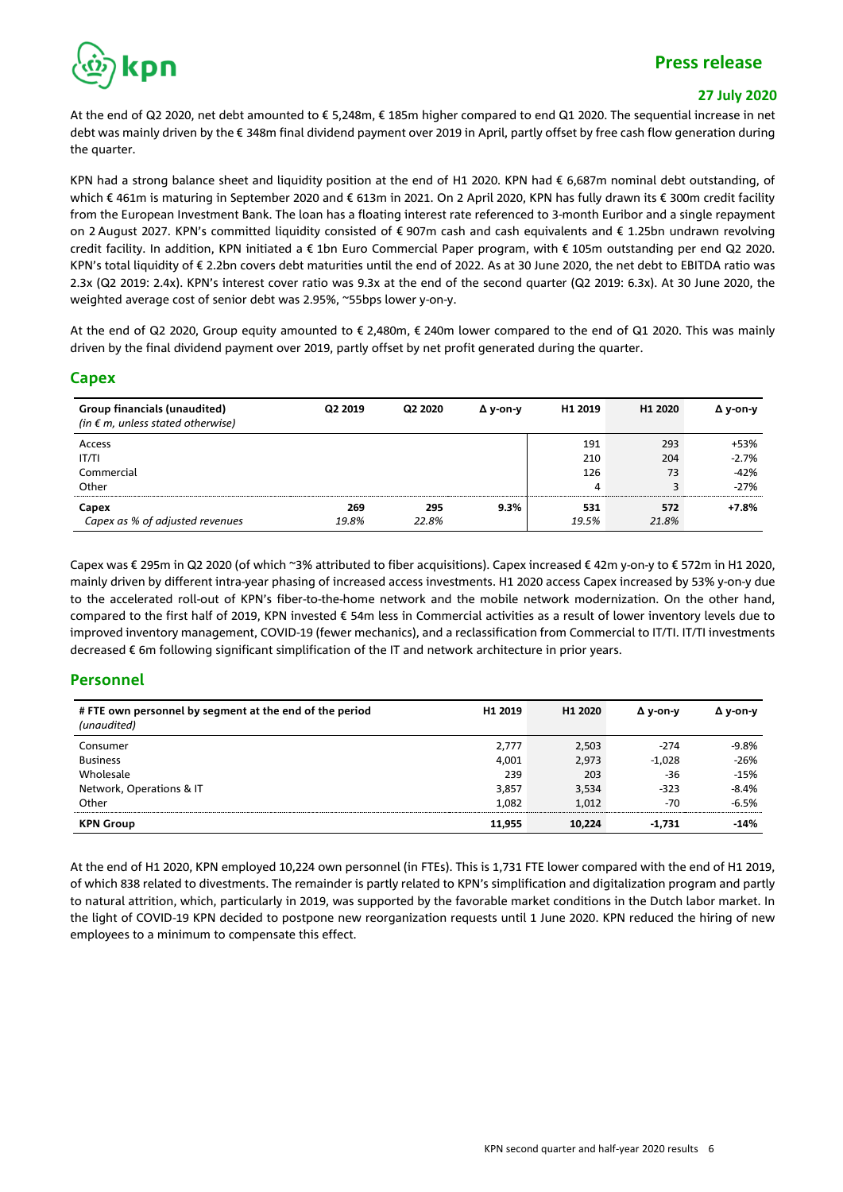

### **27 July 2020**

At the end of Q2 2020, net debt amounted to € 5,248m, € 185m higher compared to end Q1 2020. The sequential increase in net debt was mainly driven by the € 348m final dividend payment over 2019 in April, partly offset by free cash flow generation during the quarter.

KPN had a strong balance sheet and liquidity position at the end of H1 2020. KPN had € 6,687m nominal debt outstanding, of which € 461m is maturing in September 2020 and € 613m in 2021. On 2 April 2020, KPN has fully drawn its € 300m credit facility from the European Investment Bank. The loan has a floating interest rate referenced to 3-month Euribor and a single repayment on 2 August 2027. KPN's committed liquidity consisted of € 907m cash and cash equivalents and € 1.25bn undrawn revolving credit facility. In addition, KPN initiated a € 1bn Euro Commercial Paper program, with € 105m outstanding per end Q2 2020. KPN's total liquidity of € 2.2bn covers debt maturities until the end of 2022. As at 30 June 2020, the net debt to EBITDA ratio was 2.3x (Q2 2019: 2.4x). KPN's interest cover ratio was 9.3x at the end of the second quarter (Q2 2019: 6.3x). At 30 June 2020, the weighted average cost of senior debt was 2.95%, ~55bps lower y-on-y.

At the end of Q2 2020, Group equity amounted to € 2,480m, € 240m lower compared to the end of Q1 2020. This was mainly driven by the final dividend payment over 2019, partly offset by net profit generated during the quarter.

### **Capex**

| Group financials (unaudited)<br>(in $\epsilon$ m, unless stated otherwise) | Q <sub>2</sub> 2019 | Q2 2020 | Δ v-on-v | H <sub>1</sub> 2019 | H <sub>1</sub> 2020 | $\Delta$ y-on-y |
|----------------------------------------------------------------------------|---------------------|---------|----------|---------------------|---------------------|-----------------|
| Access                                                                     |                     |         |          | 191                 | 293                 | +53%            |
| IT/TI                                                                      |                     |         |          | 210                 | 204                 | $-2.7%$         |
| Commercial                                                                 |                     |         |          | 126                 | 73                  | $-42%$          |
| Other                                                                      |                     |         |          | 4                   |                     | $-27%$          |
| Capex                                                                      | 269                 | 295     | 9.3%     | 531                 | 572                 | $+7.8%$         |
| Capex as % of adjusted revenues                                            | 19.8%               | 22.8%   |          | 19.5%               | 21.8%               |                 |

Capex was € 295m in Q2 2020 (of which ~3% attributed to fiber acquisitions). Capex increased € 42m y-on-y to € 572m in H1 2020, mainly driven by different intra-year phasing of increased access investments. H1 2020 access Capex increased by 53% y-on-y due to the accelerated roll-out of KPN's fiber-to-the-home network and the mobile network modernization. On the other hand, compared to the first half of 2019, KPN invested € 54m less in Commercial activities as a result of lower inventory levels due to improved inventory management, COVID-19 (fewer mechanics), and a reclassification from Commercial to IT/TI. IT/TI investments decreased € 6m following significant simplification of the IT and network architecture in prior years.

### **Personnel**

| # FTE own personnel by segment at the end of the period<br>(unaudited) | H1 2019 | H1 2020 | $\Delta$ v-on-v | Δ v-on-v |
|------------------------------------------------------------------------|---------|---------|-----------------|----------|
| Consumer                                                               | 2,777   | 2,503   | $-274$          | $-9.8%$  |
| <b>Business</b>                                                        | 4,001   | 2,973   | $-1,028$        | $-26%$   |
| Wholesale                                                              | 239     | 203     | $-36$           | $-15%$   |
| Network, Operations & IT                                               | 3,857   | 3,534   | $-323$          | $-8.4%$  |
| Other                                                                  | 1.082   | 1,012   | $-70$           | $-6.5%$  |
| <b>KPN Group</b>                                                       | 11,955  | 10,224  | $-1,731$        | $-14%$   |

At the end of H1 2020, KPN employed 10,224 own personnel (in FTEs). This is 1,731 FTE lower compared with the end of H1 2019, of which 838 related to divestments. The remainder is partly related to KPN's simplification and digitalization program and partly to natural attrition, which, particularly in 2019, was supported by the favorable market conditions in the Dutch labor market. In the light of COVID-19 KPN decided to postpone new reorganization requests until 1 June 2020. KPN reduced the hiring of new employees to a minimum to compensate this effect.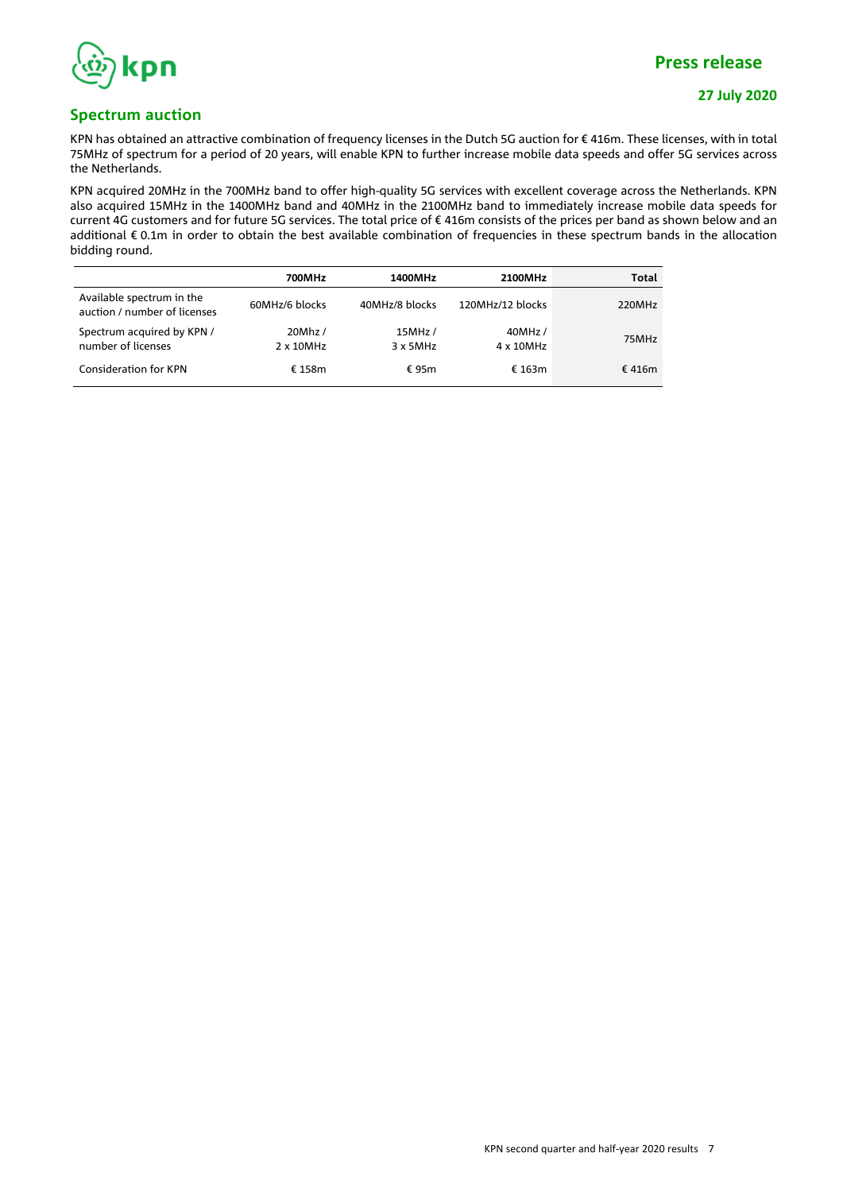

**27 July 2020**

### **Spectrum auction**

KPN has obtained an attractive combination of frequency licenses in the Dutch 5G auction for € 416m. These licenses, with in total 75MHz of spectrum for a period of 20 years, will enable KPN to further increase mobile data speeds and offer 5G services across the Netherlands.

KPN acquired 20MHz in the 700MHz band to offer high-quality 5G services with excellent coverage across the Netherlands. KPN also acquired 15MHz in the 1400MHz band and 40MHz in the 2100MHz band to immediately increase mobile data speeds for current 4G customers and for future 5G services. The total price of € 416m consists of the prices per band as shown below and an additional € 0.1m in order to obtain the best available combination of frequencies in these spectrum bands in the allocation bidding round.

|                                                           | 700MHz               | 1400MHz             | 2100MHz              | Total     |
|-----------------------------------------------------------|----------------------|---------------------|----------------------|-----------|
| Available spectrum in the<br>auction / number of licenses | 60MHz/6 blocks       | 40MHz/8 blocks      | 120MHz/12 blocks     | 220MHz    |
| Spectrum acquired by KPN /<br>number of licenses          | 20Mhz /<br>2 x 10MHz | 15MHz /<br>3 x 5MHz | 40MHz /<br>4 x 10MHz | 75MHz     |
| <b>Consideration for KPN</b>                              | € 158m               | € 95 $m$            | € 163m               | € 416 $m$ |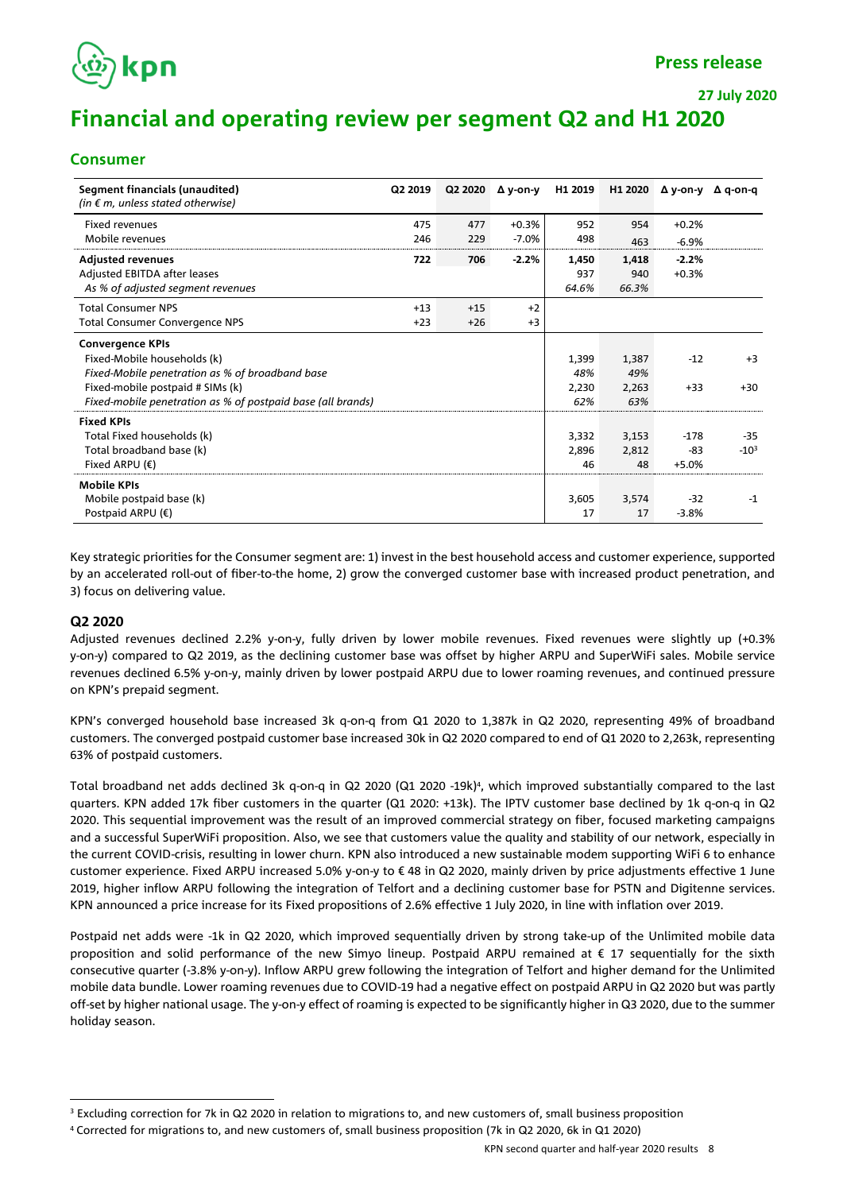

**27 July 2020**

# **Financial and operating review per segment Q2 and H1 2020**

### **Consumer**

| Segment financials (unaudited)<br>(in $\epsilon$ m, unless stated otherwise) | Q2 2019 | Q2 2020 | $\Delta$ y-on-y | H1 2019 | H1 2020 | Δ v-on-v | Δ q-on-q |
|------------------------------------------------------------------------------|---------|---------|-----------------|---------|---------|----------|----------|
| <b>Fixed revenues</b>                                                        | 475     | 477     | $+0.3%$         | 952     | 954     | $+0.2%$  |          |
| Mobile revenues                                                              | 246     | 229     | $-7.0%$         | 498     | 463     | $-6.9%$  |          |
| <b>Adjusted revenues</b>                                                     | 722     | 706     | $-2.2%$         | 1,450   | 1,418   | $-2.2%$  |          |
| Adjusted EBITDA after leases                                                 |         |         |                 | 937     | 940     | $+0.3%$  |          |
| As % of adjusted segment revenues                                            |         |         |                 | 64.6%   | 66.3%   |          |          |
| <b>Total Consumer NPS</b>                                                    | $+13$   | $+15$   | $+2$            |         |         |          |          |
| Total Consumer Convergence NPS                                               | $+23$   | $+26$   | $+3$            |         |         |          |          |
| <b>Convergence KPIs</b>                                                      |         |         |                 |         |         |          |          |
| Fixed-Mobile households (k)                                                  |         |         |                 | 1,399   | 1,387   | $-12$    | $+3$     |
| Fixed-Mobile penetration as % of broadband base                              |         |         |                 | 48%     | 49%     |          |          |
| Fixed-mobile postpaid # SIMs (k)                                             |         |         |                 | 2,230   | 2,263   | $+33$    | $+30$    |
| Fixed-mobile penetration as % of postpaid base (all brands)                  |         |         |                 | 62%     | 63%     |          |          |
| <b>Fixed KPIs</b>                                                            |         |         |                 |         |         |          |          |
| Total Fixed households (k)                                                   |         |         |                 | 3,332   | 3,153   | $-178$   | $-35$    |
| Total broadband base (k)                                                     |         |         |                 | 2,896   | 2,812   | -83      | $-10^3$  |
| Fixed ARPU $(\epsilon)$                                                      |         |         |                 | 46      | 48      | $+5.0%$  |          |
| <b>Mobile KPIs</b>                                                           |         |         |                 |         |         |          |          |
| Mobile postpaid base (k)                                                     |         |         |                 | 3,605   | 3,574   | $-32$    | $-1$     |
| Postpaid ARPU $(\epsilon)$                                                   |         |         |                 | 17      | 17      | $-3.8%$  |          |

Key strategic priorities for the Consumer segment are: 1) invest in the best household access and customer experience, supported by an accelerated roll-out of fiber-to-the home, 2) grow the converged customer base with increased product penetration, and 3) focus on delivering value.

### **Q2 2020**

Adjusted revenues declined 2.2% y-on-y, fully driven by lower mobile revenues. Fixed revenues were slightly up (+0.3% y-on-y) compared to Q2 2019, as the declining customer base was offset by higher ARPU and SuperWiFi sales. Mobile service revenues declined 6.5% y-on-y, mainly driven by lower postpaid ARPU due to lower roaming revenues, and continued pressure on KPN's prepaid segment.

KPN's converged household base increased 3k q-on-q from Q1 2020 to 1,387k in Q2 2020, representing 49% of broadband customers. The converged postpaid customer base increased 30k in Q2 2020 compared to end of Q1 2020 to 2,263k, representing 63% of postpaid customers.

Total broadband net adds declined 3k q-on-q in Q2 2020 (Q1 2020 -19k) 4 , which improved substantially compared to the last quarters. KPN added 17k fiber customers in the quarter (Q1 2020: +13k). The IPTV customer base declined by 1k q-on-q in Q2 2020. This sequential improvement was the result of an improved commercial strategy on fiber, focused marketing campaigns and a successful SuperWiFi proposition. Also, we see that customers value the quality and stability of our network, especially in the current COVID-crisis, resulting in lower churn. KPN also introduced a new sustainable modem supporting WiFi 6 to enhance customer experience. Fixed ARPU increased 5.0% y-on-y to € 48 in Q2 2020, mainly driven by price adjustments effective 1 June 2019, higher inflow ARPU following the integration of Telfort and a declining customer base for PSTN and Digitenne services. KPN announced a price increase for its Fixed propositions of 2.6% effective 1 July 2020, in line with inflation over 2019.

Postpaid net adds were -1k in Q2 2020, which improved sequentially driven by strong take-up of the Unlimited mobile data proposition and solid performance of the new Simyo lineup. Postpaid ARPU remained at € 17 sequentially for the sixth consecutive quarter (-3.8% y-on-y). Inflow ARPU grew following the integration of Telfort and higher demand for the Unlimited mobile data bundle. Lower roaming revenues due to COVID-19 had a negative effect on postpaid ARPU in Q2 2020 but was partly off-set by higher national usage. The y-on-y effect of roaming is expected to be significantly higher in Q3 2020, due to the summer holiday season.

<sup>&</sup>lt;sup>3</sup> Excluding correction for 7k in Q2 2020 in relation to migrations to, and new customers of, small business proposition

<sup>4</sup> Corrected for migrations to, and new customers of, small business proposition (7k in Q2 2020, 6k in Q1 2020)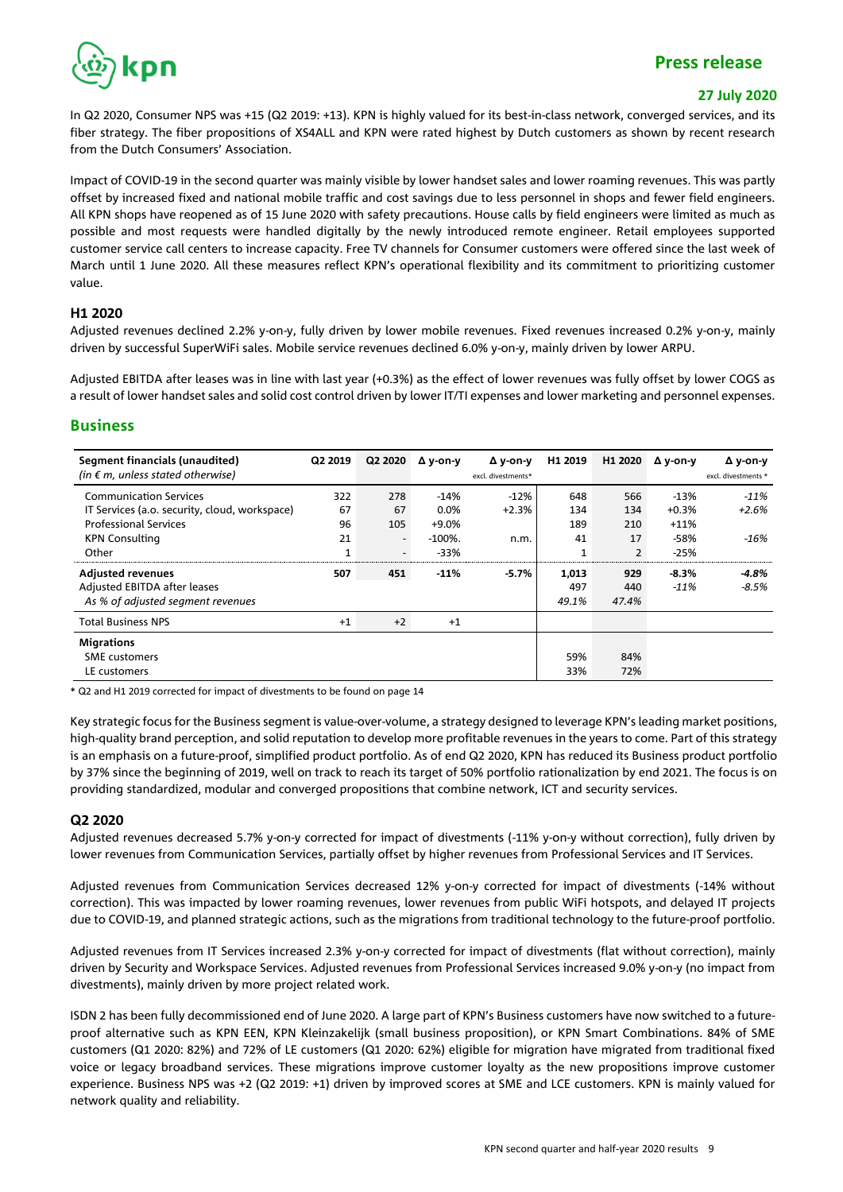

#### **27 July 2020**

In Q2 2020, Consumer NPS was +15 (Q2 2019: +13). KPN is highly valued for its best-in-class network, converged services, and its fiber strategy. The fiber propositions of XS4ALL and KPN were rated highest by Dutch customers as shown by recent research from the Dutch Consumers' Association.

Impact of COVID-19 in the second quarter was mainly visible by lower handset sales and lower roaming revenues. This was partly offset by increased fixed and national mobile traffic and cost savings due to less personnel in shops and fewer field engineers. All KPN shops have reopened as of 15 June 2020 with safety precautions. House calls by field engineers were limited as much as possible and most requests were handled digitally by the newly introduced remote engineer. Retail employees supported customer service call centers to increase capacity. Free TV channels for Consumer customers were offered since the last week of March until 1 June 2020. All these measures reflect KPN's operational flexibility and its commitment to prioritizing customer value.

#### **H1 2020**

Adjusted revenues declined 2.2% y-on-y, fully driven by lower mobile revenues. Fixed revenues increased 0.2% y-on-y, mainly driven by successful SuperWiFi sales. Mobile service revenues declined 6.0% y-on-y, mainly driven by lower ARPU.

Adjusted EBITDA after leases was in line with last year (+0.3%) as the effect of lower revenues was fully offset by lower COGS as a result of lower handset sales and solid cost control driven by lower IT/TI expenses and lower marketing and personnel expenses.

### **Business**

| Segment financials (unaudited)<br>(in $\epsilon$ m, unless stated otherwise) | Q2 2019 | Q2 2020                  | Δ y-on-y   | Δ y-on-y<br>excl. divestments* | H1 2019 | H <sub>1</sub> 2020 | $\Delta$ y-on-y | $\Delta$ y-on-y<br>excl. divestments * |
|------------------------------------------------------------------------------|---------|--------------------------|------------|--------------------------------|---------|---------------------|-----------------|----------------------------------------|
| <b>Communication Services</b>                                                | 322     | 278                      | $-14%$     | $-12%$                         | 648     | 566                 | $-13%$          | $-11%$                                 |
| IT Services (a.o. security, cloud, workspace)                                | 67      | 67                       | 0.0%       | $+2.3%$                        | 134     | 134                 | $+0.3%$         | $+2.6%$                                |
| <b>Professional Services</b>                                                 | 96      | 105                      | $+9.0%$    |                                | 189     | 210                 | $+11%$          |                                        |
| <b>KPN Consulting</b>                                                        | 21      | $\overline{\phantom{0}}$ | $-100\%$ . | n.m.                           | 41      | 17                  | -58%            | -16%                                   |
| Other                                                                        | 1       | $\overline{\phantom{0}}$ | $-33%$     |                                | 1       | $\overline{2}$      | $-25%$          |                                        |
| <b>Adjusted revenues</b>                                                     | 507     | 451                      | $-11%$     | $-5.7%$                        | 1,013   | 929                 | $-8.3%$         | $-4.8%$                                |
| Adjusted EBITDA after leases                                                 |         |                          |            |                                | 497     | 440                 | $-11%$          | $-8.5%$                                |
| As % of adjusted segment revenues                                            |         |                          |            |                                | 49.1%   | 47.4%               |                 |                                        |
| <b>Total Business NPS</b>                                                    | $+1$    | $+2$                     | $+1$       |                                |         |                     |                 |                                        |
| <b>Migrations</b>                                                            |         |                          |            |                                |         |                     |                 |                                        |
| <b>SME</b> customers                                                         |         |                          |            |                                | 59%     | 84%                 |                 |                                        |
| LE customers                                                                 |         |                          |            |                                | 33%     | 72%                 |                 |                                        |

\* Q2 and H1 2019 corrected for impact of divestments to be found on page 14

Key strategic focus for the Business segment is value-over-volume, a strategy designed to leverage KPN's leading market positions, high-quality brand perception, and solid reputation to develop more profitable revenues in the years to come. Part of this strategy is an emphasis on a future-proof, simplified product portfolio. As of end Q2 2020, KPN has reduced its Business product portfolio by 37% since the beginning of 2019, well on track to reach its target of 50% portfolio rationalization by end 2021. The focus is on providing standardized, modular and converged propositions that combine network, ICT and security services.

### **Q2 2020**

Adjusted revenues decreased 5.7% y-on-y corrected for impact of divestments (-11% y-on-y without correction), fully driven by lower revenues from Communication Services, partially offset by higher revenues from Professional Services and IT Services.

Adjusted revenues from Communication Services decreased 12% y-on-y corrected for impact of divestments (-14% without correction). This was impacted by lower roaming revenues, lower revenues from public WiFi hotspots, and delayed IT projects due to COVID-19, and planned strategic actions, such as the migrations from traditional technology to the future-proof portfolio.

Adjusted revenues from IT Services increased 2.3% y-on-y corrected for impact of divestments (flat without correction), mainly driven by Security and Workspace Services. Adjusted revenues from Professional Services increased 9.0% y-on-y (no impact from divestments), mainly driven by more project related work.

ISDN 2 has been fully decommissioned end of June 2020. A large part of KPN's Business customers have now switched to a futureproof alternative such as KPN EEN, KPN Kleinzakelijk (small business proposition), or KPN Smart Combinations. 84% of SME customers (Q1 2020: 82%) and 72% of LE customers (Q1 2020: 62%) eligible for migration have migrated from traditional fixed voice or legacy broadband services. These migrations improve customer loyalty as the new propositions improve customer experience. Business NPS was +2 (Q2 2019: +1) driven by improved scores at SME and LCE customers. KPN is mainly valued for network quality and reliability.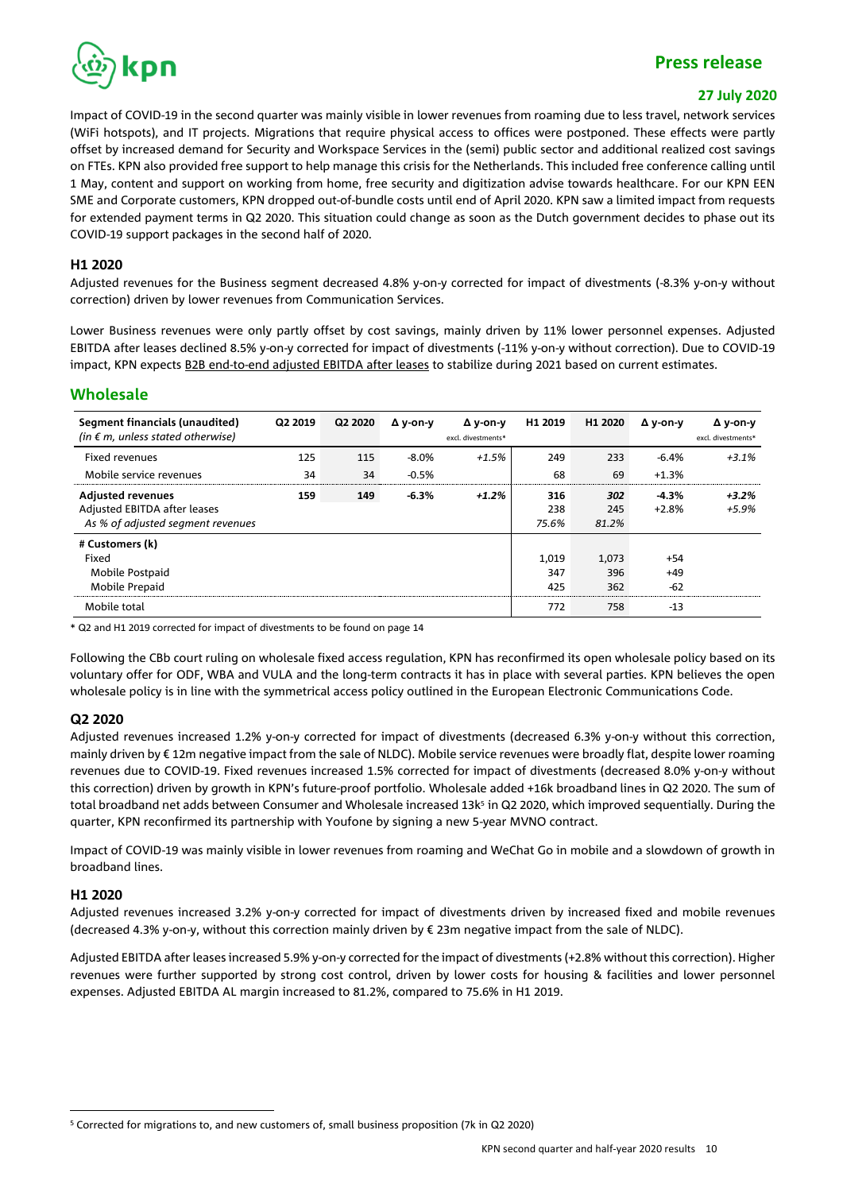

#### **27 July 2020**

Impact of COVID-19 in the second quarter was mainly visible in lower revenues from roaming due to less travel, network services (WiFi hotspots), and IT projects. Migrations that require physical access to offices were postponed. These effects were partly offset by increased demand for Security and Workspace Services in the (semi) public sector and additional realized cost savings on FTEs. KPN also provided free support to help manage this crisis for the Netherlands. This included free conference calling until 1 May, content and support on working from home, free security and digitization advise towards healthcare. For our KPN EEN SME and Corporate customers, KPN dropped out-of-bundle costs until end of April 2020. KPN saw a limited impact from requests for extended payment terms in Q2 2020. This situation could change as soon as the Dutch government decides to phase out its COVID-19 support packages in the second half of 2020.

#### **H1 2020**

Adjusted revenues for the Business segment decreased 4.8% y-on-y corrected for impact of divestments (-8.3% y-on-y without correction) driven by lower revenues from Communication Services.

Lower Business revenues were only partly offset by cost savings, mainly driven by 11% lower personnel expenses. Adjusted EBITDA after leases declined 8.5% y-on-y corrected for impact of divestments (-11% y-on-y without correction). Due to COVID-19 impact, KPN expects B2B end-to-end adjusted EBITDA after leases to stabilize during 2021 based on current estimates.

### **Wholesale**

| Segment financials (unaudited)<br>(in $\epsilon$ m, unless stated otherwise) | Q2 2019 | Q2 2020 | $\Delta$ v-on-v | Δ v-on-v<br>excl. divestments* | H1 2019      | H1 2020      | Δ y-on-y | Δ v-on-v<br>excl. divestments* |
|------------------------------------------------------------------------------|---------|---------|-----------------|--------------------------------|--------------|--------------|----------|--------------------------------|
| Fixed revenues                                                               | 125     | 115     | $-8.0%$         | +1.5%                          | 249          | 233          | $-6.4\%$ | $+3.1%$                        |
| Mobile service revenues                                                      | 34      | 34      | $-0.5%$         |                                | 68           | 69           | $+1.3%$  |                                |
| <b>Adjusted revenues</b>                                                     | 159     | 149     | $-6.3%$         | $+1.2%$                        | 316          | 302          | $-4.3%$  | $+3.2%$                        |
| Adjusted EBITDA after leases<br>As % of adjusted segment revenues            |         |         |                 |                                | 238<br>75.6% | 245<br>81.2% | $+2.8%$  | $+5.9%$                        |
| # Customers (k)                                                              |         |         |                 |                                |              |              |          |                                |
| Fixed                                                                        |         |         |                 |                                | 1,019        | 1,073        | $+54$    |                                |
| Mobile Postpaid                                                              |         |         |                 |                                | 347          | 396          | $+49$    |                                |
| Mobile Prepaid                                                               |         |         |                 |                                | 425          | 362          | $-62$    |                                |
| Mobile total                                                                 |         |         |                 |                                | 772          | 758          | $-13$    |                                |

\* Q2 and H1 2019 corrected for impact of divestments to be found on page 14

Following the CBb court ruling on wholesale fixed access regulation, KPN has reconfirmed its open wholesale policy based on its voluntary offer for ODF, WBA and VULA and the long-term contracts it has in place with several parties. KPN believes the open wholesale policy is in line with the symmetrical access policy outlined in the European Electronic Communications Code.

### **Q2 2020**

Adjusted revenues increased 1.2% y-on-y corrected for impact of divestments (decreased 6.3% y-on-y without this correction, mainly driven by €12m negative impact from the sale of NLDC). Mobile service revenues were broadly flat, despite lower roaming revenues due to COVID-19. Fixed revenues increased 1.5% corrected for impact of divestments (decreased 8.0% y-on-y without this correction) driven by growth in KPN's future-proof portfolio. Wholesale added +16k broadband lines in Q2 2020. The sum of total broadband net adds between Consumer and Wholesale increased 13k 5 in Q2 2020, which improved sequentially. During the quarter, KPN reconfirmed its partnership with Youfone by signing a new 5-year MVNO contract.

Impact of COVID-19 was mainly visible in lower revenues from roaming and WeChat Go in mobile and a slowdown of growth in broadband lines.

#### **H1 2020**

Adjusted revenues increased 3.2% y-on-y corrected for impact of divestments driven by increased fixed and mobile revenues (decreased 4.3% y-on-y, without this correction mainly driven by € 23m negative impact from the sale of NLDC).

Adjusted EBITDA after leases increased 5.9% y-on-y corrected for the impact of divestments (+2.8% without this correction). Higher revenues were further supported by strong cost control, driven by lower costs for housing & facilities and lower personnel expenses. Adjusted EBITDA AL margin increased to 81.2%, compared to 75.6% in H1 2019.

<sup>5</sup> Corrected for migrations to, and new customers of, small business proposition (7k in Q2 2020)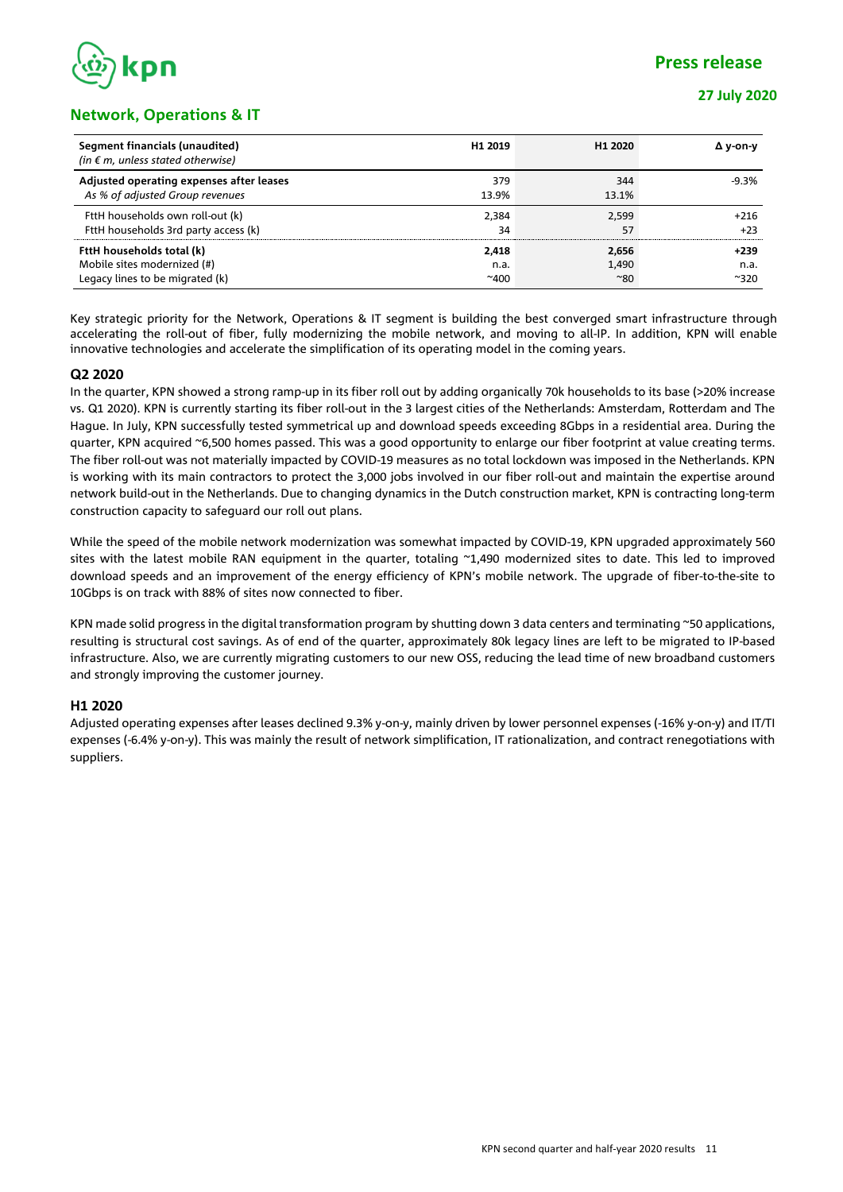

### **Network, Operations & IT**

| Segment financials (unaudited)<br>(in $\epsilon$ m, unless stated otherwise) | H <sub>1</sub> 2019 | H <sub>1</sub> 2020 | Δ v-on-v      |
|------------------------------------------------------------------------------|---------------------|---------------------|---------------|
| Adjusted operating expenses after leases                                     | 379                 | 344                 | $-9.3%$       |
| As % of adjusted Group revenues                                              | 13.9%               | 13.1%               |               |
| FttH households own roll-out (k)                                             | 2,384               | 2,599               | $+216$        |
| FttH households 3rd party access (k)                                         | 34                  | 57                  | $+23$         |
| FttH households total (k)                                                    | 2,418               | 2,656               | $+239$        |
| Mobile sites modernized (#)                                                  | n.a.                | 1,490               | n.a.          |
| Legacy lines to be migrated (k)                                              | $^{\sim}400$        | $^{\sim}80$         | $^{\sim}$ 320 |

Key strategic priority for the Network, Operations & IT segment is building the best converged smart infrastructure through accelerating the roll-out of fiber, fully modernizing the mobile network, and moving to all-IP. In addition, KPN will enable innovative technologies and accelerate the simplification of its operating model in the coming years.

### **Q2 2020**

In the quarter, KPN showed a strong ramp-up in its fiber roll out by adding organically 70k households to its base (>20% increase vs. Q1 2020). KPN is currently starting its fiber roll-out in the 3 largest cities of the Netherlands: Amsterdam, Rotterdam and The Hague. In July, KPN successfully tested symmetrical up and download speeds exceeding 8Gbps in a residential area. During the quarter, KPN acquired ~6,500 homes passed. This was a good opportunity to enlarge our fiber footprint at value creating terms. The fiber roll-out was not materially impacted by COVID-19 measures as no total lockdown was imposed in the Netherlands. KPN is working with its main contractors to protect the 3,000 jobs involved in our fiber roll-out and maintain the expertise around network build-out in the Netherlands. Due to changing dynamics in the Dutch construction market, KPN is contracting long-term construction capacity to safeguard our roll out plans.

While the speed of the mobile network modernization was somewhat impacted by COVID-19, KPN upgraded approximately 560 sites with the latest mobile RAN equipment in the quarter, totaling ~1,490 modernized sites to date. This led to improved download speeds and an improvement of the energy efficiency of KPN's mobile network. The upgrade of fiber-to-the-site to 10Gbps is on track with 88% of sites now connected to fiber.

KPN made solid progress in the digital transformation program by shutting down 3 data centers and terminating ~50 applications, resulting is structural cost savings. As of end of the quarter, approximately 80k legacy lines are left to be migrated to IP-based infrastructure. Also, we are currently migrating customers to our new OSS, reducing the lead time of new broadband customers and strongly improving the customer journey.

### **H1 2020**

Adjusted operating expenses after leases declined 9.3% y-on-y, mainly driven by lower personnel expenses (-16% y-on-y) and IT/TI expenses (-6.4% y-on-y). This was mainly the result of network simplification, IT rationalization, and contract renegotiations with suppliers.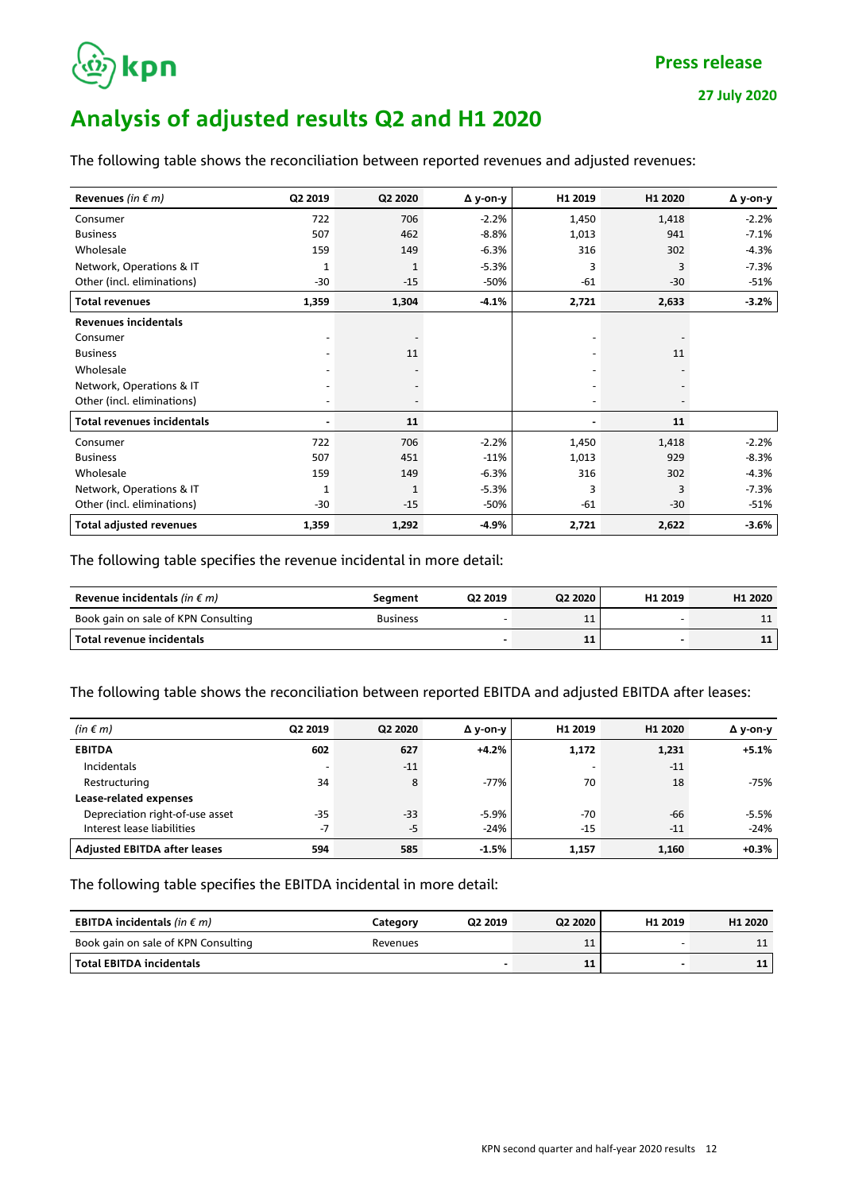

# **Analysis of adjusted results Q2 and H1 2020**

**27 July 2020**

| The following table shows the reconciliation between reported revenues and adjusted revenues: |  |  |  |  |  |  |
|-----------------------------------------------------------------------------------------------|--|--|--|--|--|--|
|-----------------------------------------------------------------------------------------------|--|--|--|--|--|--|

| Revenues (in $\epsilon$ m)        | Q2 2019        | Q2 2020      | $\Delta$ y-on-y | H1 2019 | H1 2020 | Δ y-on-y |
|-----------------------------------|----------------|--------------|-----------------|---------|---------|----------|
| Consumer                          | 722            | 706          | $-2.2%$         | 1,450   | 1,418   | $-2.2%$  |
| <b>Business</b>                   | 507            | 462          | $-8.8%$         | 1,013   | 941     | $-7.1%$  |
| Wholesale                         | 159            | 149          | $-6.3%$         | 316     | 302     | $-4.3%$  |
| Network, Operations & IT          | 1              | 1            | $-5.3%$         | 3       | 3       | $-7.3%$  |
| Other (incl. eliminations)        | $-30$          | $-15$        | -50%            | $-61$   | $-30$   | $-51%$   |
| <b>Total revenues</b>             | 1,359          | 1,304        | $-4.1%$         | 2,721   | 2,633   | $-3.2\%$ |
| <b>Revenues incidentals</b>       |                |              |                 |         |         |          |
| Consumer                          |                |              |                 |         |         |          |
| <b>Business</b>                   |                | 11           |                 |         | 11      |          |
| Wholesale                         |                |              |                 |         |         |          |
| Network, Operations & IT          |                |              |                 |         |         |          |
| Other (incl. eliminations)        |                |              |                 |         |         |          |
| <b>Total revenues incidentals</b> | $\blacksquare$ | 11           |                 |         | 11      |          |
| Consumer                          | 722            | 706          | $-2.2%$         | 1,450   | 1,418   | $-2.2%$  |
| <b>Business</b>                   | 507            | 451          | $-11%$          | 1,013   | 929     | $-8.3%$  |
| Wholesale                         | 159            | 149          | $-6.3%$         | 316     | 302     | $-4.3%$  |
| Network, Operations & IT          | $\mathbf{1}$   | $\mathbf{1}$ | $-5.3%$         | 3       | 3       | $-7.3%$  |
| Other (incl. eliminations)        | $-30$          | $-15$        | -50%            | $-61$   | $-30$   | $-51%$   |
| <b>Total adjusted revenues</b>    | 1,359          | 1,292        | -4.9%           | 2,721   | 2,622   | $-3.6\%$ |

The following table specifies the revenue incidental in more detail:

| Revenue incidentals (in $\epsilon$ m) | Seament         | Q2 2019 | Q2 2020 | H1 2019 | H <sub>1</sub> 2020 |
|---------------------------------------|-----------------|---------|---------|---------|---------------------|
| Book gain on sale of KPN Consulting   | <b>Business</b> |         | ᆠ       |         | <b>. .</b>          |
| Total revenue incidentals             |                 |         | 11      |         | 11                  |

The following table shows the reconciliation between reported EBITDA and adjusted EBITDA after leases:

| (in $\epsilon$ m)                   | Q2 2019                  | Q2 2020 | Δ y-on-y | H1 2019 | H1 2020 | Δ y-on-y |
|-------------------------------------|--------------------------|---------|----------|---------|---------|----------|
| <b>EBITDA</b>                       | 602                      | 627     | $+4.2%$  | 1,172   | 1,231   | $+5.1%$  |
| Incidentals                         | $\overline{\phantom{a}}$ | $-11$   |          |         | $-11$   |          |
| Restructuring                       | 34                       | 8       | $-77%$   | 70      | 18      | -75%     |
| Lease-related expenses              |                          |         |          |         |         |          |
| Depreciation right-of-use asset     | $-35$                    | -33     | $-5.9%$  | -70     | -66     | $-5.5%$  |
| Interest lease liabilities          | $-7$                     | $-5$    | $-24%$   | $-15$   | $-11$   | $-24%$   |
| <b>Adjusted EBITDA after leases</b> | 594                      | 585     | $-1.5%$  | 1,157   | 1,160   | $+0.3\%$ |

The following table specifies the EBITDA incidental in more detail:

| <b>EBITDA incidentals</b> (in $\epsilon$ m) | Category | Q2 2019 | Q2 2020 | H <sub>1</sub> 2019 | H <sub>1</sub> 2020 |
|---------------------------------------------|----------|---------|---------|---------------------|---------------------|
| Book gain on sale of KPN Consulting         | Revenues |         | ᆠ       |                     | 11                  |
| l Total EBITDA incidentals                  |          |         | 11      |                     | 11                  |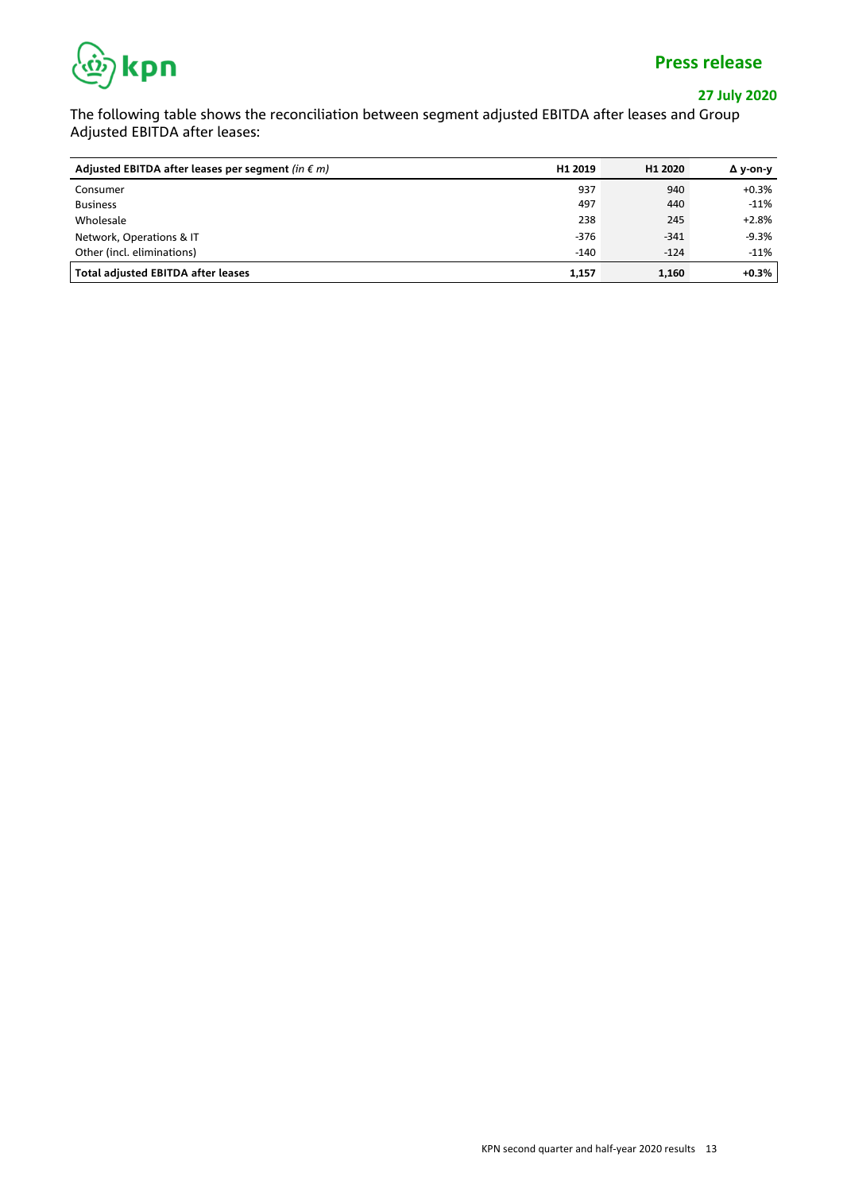

### **27 July 2020**

The following table shows the reconciliation between segment adjusted EBITDA after leases and Group Adjusted EBITDA after leases:

| Adjusted EBITDA after leases per segment (in $\epsilon$ m) | H1 2019 | H <sub>1</sub> 2020 | Δ y-on-y |
|------------------------------------------------------------|---------|---------------------|----------|
| Consumer                                                   | 937     | 940                 | +0.3%    |
| <b>Business</b>                                            | 497     | 440                 | $-11%$   |
| Wholesale                                                  | 238     | 245                 | $+2.8%$  |
| Network, Operations & IT                                   | $-376$  | $-341$              | $-9.3%$  |
| Other (incl. eliminations)                                 | $-140$  | $-124$              | $-11%$   |
| <b>Total adjusted EBITDA after leases</b>                  | 1,157   | 1,160               | $+0.3%$  |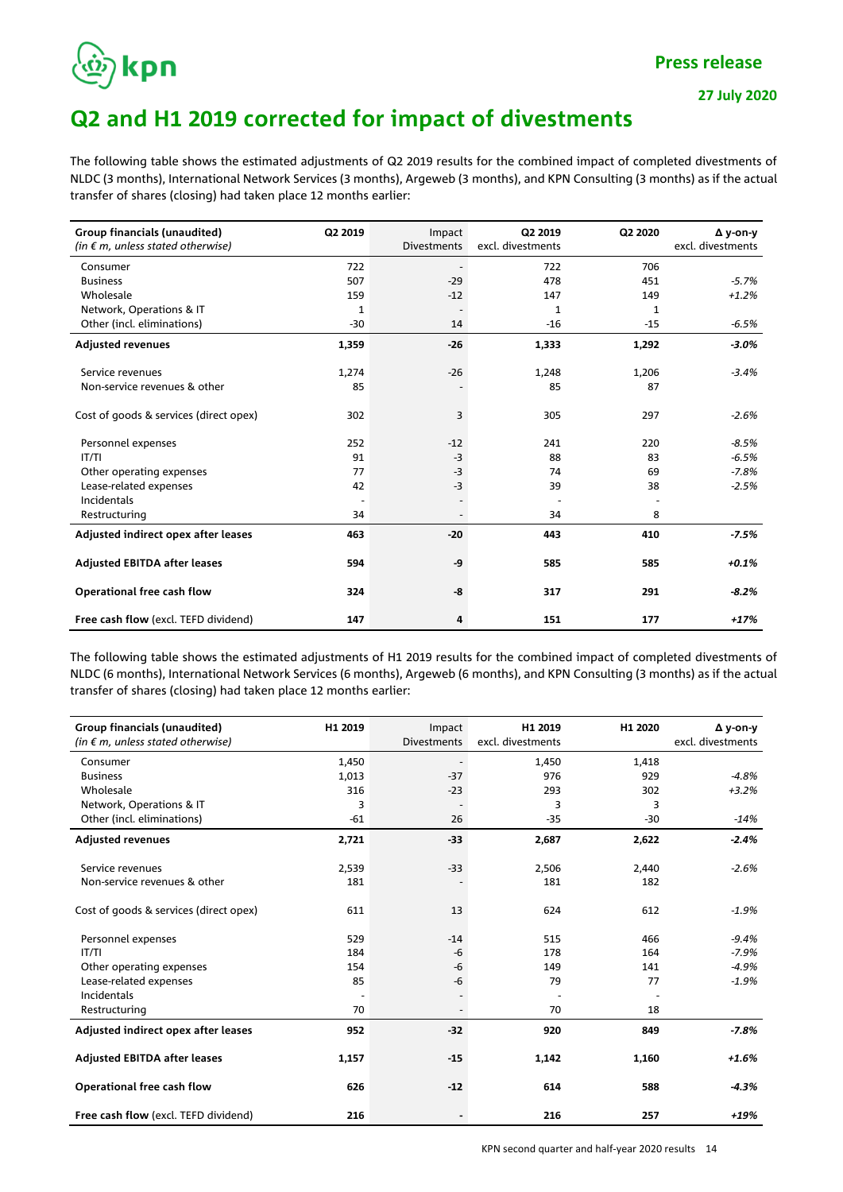

## **Q2 and H1 2019 corrected for impact of divestments**

The following table shows the estimated adjustments of Q2 2019 results for the combined impact of completed divestments of NLDC (3 months), International Network Services (3 months), Argeweb (3 months), and KPN Consulting (3 months) as if the actual transfer of shares (closing) had taken place 12 months earlier:

| <b>Group financials (unaudited)</b>        | Q2 2019 | Impact             | Q2 2019           | Q2 2020      | $\Delta$ y-on-y   |
|--------------------------------------------|---------|--------------------|-------------------|--------------|-------------------|
| (in $\epsilon$ m, unless stated otherwise) |         | <b>Divestments</b> | excl. divestments |              | excl. divestments |
| Consumer                                   | 722     |                    | 722               | 706          |                   |
| <b>Business</b>                            | 507     | $-29$              | 478               | 451          | $-5.7%$           |
| Wholesale                                  | 159     | $-12$              | 147               | 149          | $+1.2%$           |
| Network, Operations & IT                   | 1       |                    | 1                 | $\mathbf{1}$ |                   |
| Other (incl. eliminations)                 | -30     | 14                 | $-16$             | $-15$        | $-6.5%$           |
| <b>Adjusted revenues</b>                   | 1,359   | $-26$              | 1,333             | 1,292        | $-3.0\%$          |
| Service revenues                           | 1,274   | $-26$              | 1,248             | 1,206        | $-3.4%$           |
| Non-service revenues & other               | 85      |                    | 85                | 87           |                   |
| Cost of goods & services (direct opex)     | 302     | 3                  | 305               | 297          | $-2.6%$           |
| Personnel expenses                         | 252     | $-12$              | 241               | 220          | $-8.5%$           |
| IT/TI                                      | 91      | $-3$               | 88                | 83           | $-6.5%$           |
| Other operating expenses                   | 77      | $-3$               | 74                | 69           | $-7.8%$           |
| Lease-related expenses                     | 42      | $-3$               | 39                | 38           | $-2.5%$           |
| Incidentals                                |         |                    |                   |              |                   |
| Restructuring                              | 34      |                    | 34                | 8            |                   |
| Adjusted indirect opex after leases        | 463     | $-20$              | 443               | 410          | $-7.5%$           |
| <b>Adjusted EBITDA after leases</b>        | 594     | -9                 | 585               | 585          | $+0.1%$           |
| Operational free cash flow                 | 324     | -8                 | 317               | 291          | $-8.2%$           |
| Free cash flow (excl. TEFD dividend)       | 147     | 4                  | 151               | 177          | $+17%$            |

The following table shows the estimated adjustments of H1 2019 results for the combined impact of completed divestments of NLDC (6 months), International Network Services (6 months), Argeweb (6 months), and KPN Consulting (3 months) as if the actual transfer of shares (closing) had taken place 12 months earlier:

| Group financials (unaudited)               | H1 2019 | Impact                   | H1 2019           | H1 2020 | $\Delta$ v-on-v   |
|--------------------------------------------|---------|--------------------------|-------------------|---------|-------------------|
| (in $\epsilon$ m, unless stated otherwise) |         | <b>Divestments</b>       | excl. divestments |         | excl. divestments |
| Consumer                                   | 1,450   |                          | 1,450             | 1,418   |                   |
| <b>Business</b>                            | 1,013   | $-37$                    | 976               | 929     | $-4.8%$           |
| Wholesale                                  | 316     | $-23$                    | 293               | 302     | $+3.2%$           |
| Network, Operations & IT                   | 3       | $\overline{\phantom{a}}$ | 3                 | 3       |                   |
| Other (incl. eliminations)                 | $-61$   | 26                       | $-35$             | $-30$   | $-14%$            |
| <b>Adjusted revenues</b>                   | 2,721   | $-33$                    | 2,687             | 2,622   | $-2.4%$           |
| Service revenues                           | 2,539   | $-33$                    | 2,506             | 2,440   | $-2.6%$           |
| Non-service revenues & other               | 181     |                          | 181               | 182     |                   |
| Cost of goods & services (direct opex)     | 611     | 13                       | 624               | 612     | $-1.9%$           |
| Personnel expenses                         | 529     | $-14$                    | 515               | 466     | $-9.4%$           |
| IT/TI                                      | 184     | -6                       | 178               | 164     | $-7.9%$           |
| Other operating expenses                   | 154     | $-6$                     | 149               | 141     | $-4.9%$           |
| Lease-related expenses                     | 85      | -6                       | 79                | 77      | $-1.9%$           |
| Incidentals                                |         |                          |                   |         |                   |
| Restructuring                              | 70      |                          | 70                | 18      |                   |
| Adjusted indirect opex after leases        | 952     | $-32$                    | 920               | 849     | $-7.8%$           |
| <b>Adjusted EBITDA after leases</b>        | 1,157   | $-15$                    | 1,142             | 1,160   | $+1.6%$           |
| Operational free cash flow                 | 626     | $-12$                    | 614               | 588     | $-4.3%$           |
| Free cash flow (excl. TEFD dividend)       | 216     |                          | 216               | 257     | $+19%$            |